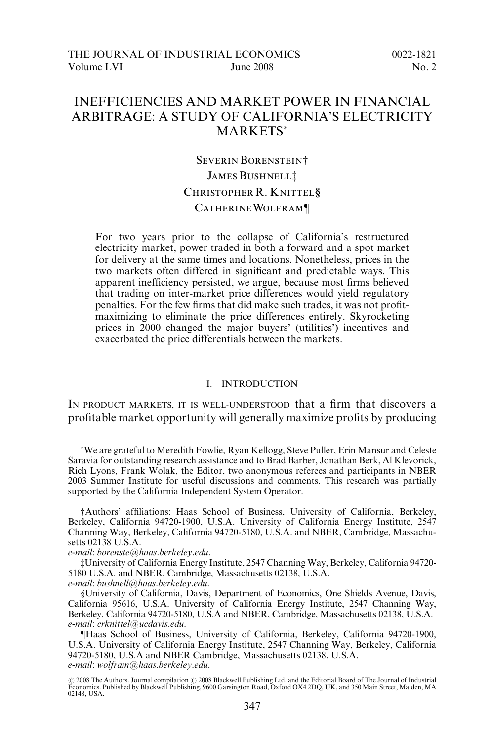# INEFFICIENCIES AND MARKET POWER IN FINANCIAL ARBITRAGE: A STUDY OF CALIFORNIA'S ELECTRICITY MARKETS

# SEVERIN BORENSTEINT JAMES BUSHNELL<sup>+</sup> Christopher R. Knittel*§* CATHERINE WOLFRAM

For two years prior to the collapse of California's restructured electricity market, power traded in both a forward and a spot market for delivery at the same times and locations. Nonetheless, prices in the two markets often differed in significant and predictable ways. This apparent inefficiency persisted, we argue, because most firms believed that trading on inter-market price differences would yield regulatory penalties. For the few firms that did make such trades, it was not profitmaximizing to eliminate the price differences entirely. Skyrocketing prices in 2000 changed the major buyers' (utilities') incentives and exacerbated the price differentials between the markets.

#### I. INTRODUCTION

IN PRODUCT MARKETS, IT IS WELL-UNDERSTOOD that a firm that discovers a profitable market opportunity will generally maximize profits by producing

 We are grateful to Meredith Fowlie, Ryan Kellogg, Steve Puller, Erin Mansur and Celeste Saravia for outstanding research assistance and to Brad Barber, Jonathan Berk, Al Klevorick, Rich Lyons, Frank Wolak, the Editor, two anonymous referees and participants in NBER 2003 Summer Institute for useful discussions and comments. This research was partially supported by the California Independent System Operator.

†Authors' affiliations: Haas School of Business, University of California, Berkeley, Berkeley, California 94720-1900, U.S.A. University of California Energy Institute, 2547 Channing Way, Berkeley, California 94720-5180, U.S.A. and NBER, Cambridge, Massachusetts 02138 U.S.A.

e-mail: borenste@haas.berkeley.edu.

zUniversity of California Energy Institute, 2547 Channing Way, Berkeley, California 94720- 5180 U.S.A. and NBER, Cambridge, Massachusetts 02138, U.S.A. e-mail: bushnell@haas.berkeley.edu.

*§*University of California, Davis, Department of Economics, One Shields Avenue, Davis, California 95616, U.S.A. University of California Energy Institute, 2547 Channing Way, Berkeley, California 94720-5180, U.S.A and NBER, Cambridge, Massachusetts 02138, U.S.A. e-mail: crknittel@ucdavis.edu.

zHaas School of Business, University of California, Berkeley, California 94720-1900, U.S.A. University of California Energy Institute, 2547 Channing Way, Berkeley, California 94720-5180, U.S.A and NBER Cambridge, Massachusetts 02138, U.S.A. e-mail: wolfram@haas.berkeley.edu.

<sup>© 2008</sup> The Authors. Journal compilation © 2008 Blackwell Publishing Ltd. and the Editorial Board of The Journal of Industrial<br>Economics. Published by Blackwell Publishing, 9600 Garsington Road, Oxford OX4 2DQ, UK, and 350 02148, USA.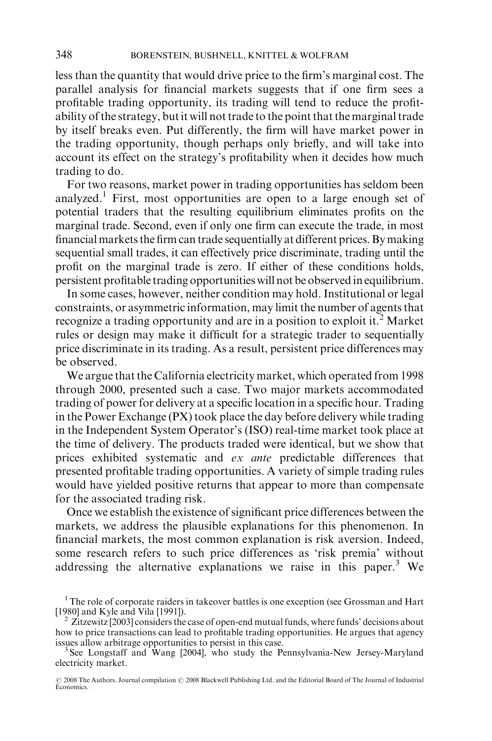less than the quantity that would drive price to the firm's marginal cost. The parallel analysis for financial markets suggests that if one firm sees a profitable trading opportunity, its trading will tend to reduce the profitability of the strategy, but it will not trade to the point that the marginal trade by itself breaks even. Put differently, the firm will have market power in the trading opportunity, though perhaps only briefly, and will take into account its effect on the strategy's profitability when it decides how much trading to do.

For two reasons, market power in trading opportunities has seldom been analyzed.<sup>1</sup> First, most opportunities are open to a large enough set of potential traders that the resulting equilibrium eliminates profits on the marginal trade. Second, even if only one firm can execute the trade, in most financial markets the firm can trade sequentially at different prices. By making sequential small trades, it can effectively price discriminate, trading until the profit on the marginal trade is zero. If either of these conditions holds, persistent profitable trading opportunities will not be observed in equilibrium.

In some cases, however, neither condition may hold. Institutional or legal constraints, or asymmetric information, may limit the number of agents that recognize a trading opportunity and are in a position to exploit it.<sup>2</sup> Market rules or design may make it difficult for a strategic trader to sequentially price discriminate in its trading. As a result, persistent price differences may be observed.

We argue that the California electricity market, which operated from 1998 through 2000, presented such a case. Two major markets accommodated trading of power for delivery at a specific location in a specific hour. Trading in the Power Exchange (PX) took place the day before delivery while trading in the Independent System Operator's (ISO) real-time market took place at the time of delivery. The products traded were identical, but we show that prices exhibited systematic and *ex ante* predictable differences that presented profitable trading opportunities. A variety of simple trading rules would have yielded positive returns that appear to more than compensate for the associated trading risk.

Once we establish the existence of significant price differences between the markets, we address the plausible explanations for this phenomenon. In financial markets, the most common explanation is risk aversion. Indeed, some research refers to such price differences as 'risk premia' without addressing the alternative explanations we raise in this paper.<sup>3</sup> We

<sup>&</sup>lt;sup>1</sup> The role of corporate raiders in takeover battles is one exception (see Grossman and Hart [1980] and Kyle and Vila [1991]).

 $2\text{ Zitzewitz}$  [2003] considers the case of open-end mutual funds, where funds' decisions about how to price transactions can lead to profitable trading opportunities. He argues that agency issues allow arbitrage opportunities to persist in this case.

<sup>&</sup>lt;sup>3</sup> See Longstaff and Wang [2004], who study the Pennsylvania-New Jersey-Maryland electricity market.

<sup>© 2008</sup> The Authors. Journal compilation © 2008 Blackwell Publishing Ltd. and the Editorial Board of The Journal of Industrial<br>Economics.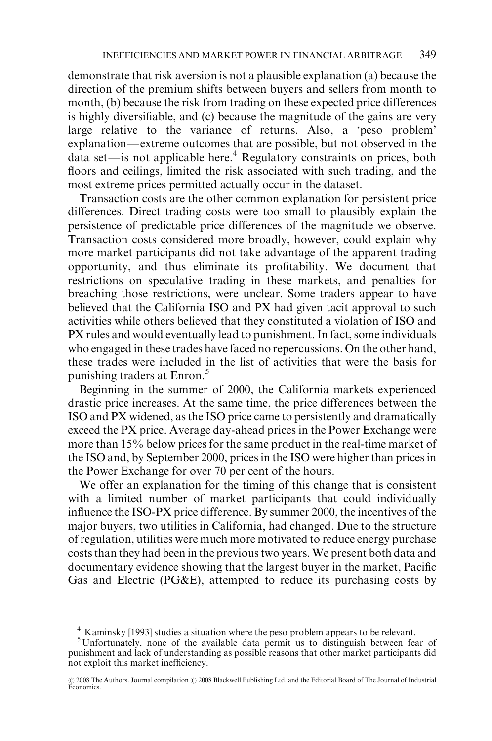demonstrate that risk aversion is not a plausible explanation (a) because the direction of the premium shifts between buyers and sellers from month to month, (b) because the risk from trading on these expected price differences is highly diversifiable, and (c) because the magnitude of the gains are very large relative to the variance of returns. Also, a 'peso problem' explanation—extreme outcomes that are possible, but not observed in the data set—is not applicable here.<sup>4</sup> Regulatory constraints on prices, both floors and ceilings, limited the risk associated with such trading, and the most extreme prices permitted actually occur in the dataset.

Transaction costs are the other common explanation for persistent price differences. Direct trading costs were too small to plausibly explain the persistence of predictable price differences of the magnitude we observe. Transaction costs considered more broadly, however, could explain why more market participants did not take advantage of the apparent trading opportunity, and thus eliminate its profitability. We document that restrictions on speculative trading in these markets, and penalties for breaching those restrictions, were unclear. Some traders appear to have believed that the California ISO and PX had given tacit approval to such activities while others believed that they constituted a violation of ISO and PX rules and would eventually lead to punishment. In fact, some individuals who engaged in these trades have faced no repercussions. On the other hand, these trades were included in the list of activities that were the basis for punishing traders at Enron.<sup>5</sup>

Beginning in the summer of 2000, the California markets experienced drastic price increases. At the same time, the price differences between the ISO and PX widened, as the ISO price came to persistently and dramatically exceed the PX price. Average day-ahead prices in the Power Exchange were more than 15% below prices for the same product in the real-time market of the ISO and, by September 2000, prices in the ISO were higher than prices in the Power Exchange for over 70 per cent of the hours.

We offer an explanation for the timing of this change that is consistent with a limited number of market participants that could individually influence the ISO-PX price difference. By summer 2000, the incentives of the major buyers, two utilities in California, had changed. Due to the structure of regulation, utilities were much more motivated to reduce energy purchase costs than they had been in the previous two years. We present both data and documentary evidence showing that the largest buyer in the market, Pacific Gas and Electric (PG&E), attempted to reduce its purchasing costs by

<sup>&</sup>lt;sup>4</sup> Kaminsky [1993] studies a situation where the peso problem appears to be relevant. <sup>5</sup> Unfortunately, none of the available data permit us to distinguish between fear of

punishment and lack of understanding as possible reasons that other market participants did not exploit this market inefficiency.

<sup>© 2008</sup> The Authors. Journal compilation © 2008 Blackwell Publishing Ltd. and the Editorial Board of The Journal of Industrial Economics.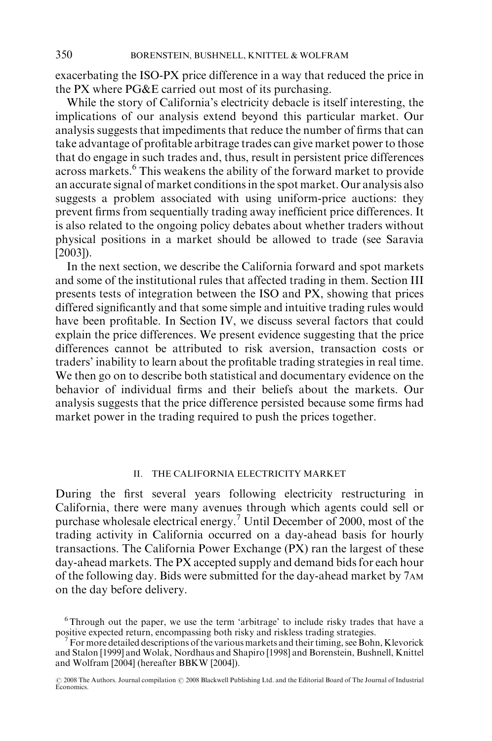exacerbating the ISO-PX price difference in a way that reduced the price in the PX where PG&E carried out most of its purchasing.

While the story of California's electricity debacle is itself interesting, the implications of our analysis extend beyond this particular market. Our analysis suggests that impediments that reduce the number of firms that can take advantage of profitable arbitrage trades can give market power to those that do engage in such trades and, thus, result in persistent price differences across markets.<sup>6</sup> This weakens the ability of the forward market to provide an accurate signal of market conditions in the spot market. Our analysis also suggests a problem associated with using uniform-price auctions: they prevent firms from sequentially trading away inefficient price differences. It is also related to the ongoing policy debates about whether traders without physical positions in a market should be allowed to trade (see Saravia [2003]).

In the next section, we describe the California forward and spot markets and some of the institutional rules that affected trading in them. Section III presents tests of integration between the ISO and PX, showing that prices differed significantly and that some simple and intuitive trading rules would have been profitable. In Section IV, we discuss several factors that could explain the price differences. We present evidence suggesting that the price differences cannot be attributed to risk aversion, transaction costs or traders' inability to learn about the profitable trading strategies in real time. We then go on to describe both statistical and documentary evidence on the behavior of individual firms and their beliefs about the markets. Our analysis suggests that the price difference persisted because some firms had market power in the trading required to push the prices together.

## II. THE CALIFORNIA ELECTRICITY MARKET

During the first several years following electricity restructuring in California, there were many avenues through which agents could sell or purchase wholesale electrical energy.<sup>7</sup> Until December of 2000, most of the trading activity in California occurred on a day-ahead basis for hourly transactions. The California Power Exchange (PX) ran the largest of these day-ahead markets. The PX accepted supply and demand bids for each hour of the following day. Bids were submitted for the day-ahead market by 7AM on the day before delivery.

<sup>&</sup>lt;sup>6</sup>Through out the paper, we use the term 'arbitrage' to include risky trades that have a positive expected return, encompassing both risky and riskless trading strategies.

 $\sigma$  For more detailed descriptions of the various markets and their timing, see Bohn, Klevorick and Stalon [1999] and Wolak, Nordhaus and Shapiro [1998] and Borenstein, Bushnell, Knittel and Wolfram [2004] (hereafter BBKW [2004]).

<sup>© 2008</sup> The Authors. Journal compilation © 2008 Blackwell Publishing Ltd. and the Editorial Board of The Journal of Industrial<br>Economics.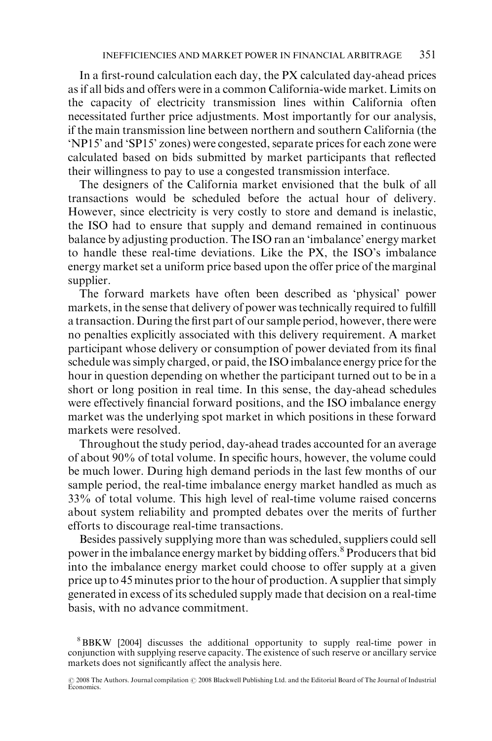In a first-round calculation each day, the PX calculated day-ahead prices as if all bids and offers were in a common California-wide market. Limits on the capacity of electricity transmission lines within California often necessitated further price adjustments. Most importantly for our analysis, if the main transmission line between northern and southern California (the 'NP15' and 'SP15' zones) were congested, separate prices for each zone were calculated based on bids submitted by market participants that reflected their willingness to pay to use a congested transmission interface.

The designers of the California market envisioned that the bulk of all transactions would be scheduled before the actual hour of delivery. However, since electricity is very costly to store and demand is inelastic, the ISO had to ensure that supply and demand remained in continuous balance by adjusting production. The ISO ran an 'imbalance' energy market to handle these real-time deviations. Like the PX, the ISO's imbalance energy market set a uniform price based upon the offer price of the marginal supplier.

The forward markets have often been described as 'physical' power markets, in the sense that delivery of power was technically required to fulfill a transaction. During the first part of our sample period, however, there were no penalties explicitly associated with this delivery requirement. A market participant whose delivery or consumption of power deviated from its final schedule was simply charged, or paid, the ISO imbalance energy price for the hour in question depending on whether the participant turned out to be in a short or long position in real time. In this sense, the day-ahead schedules were effectively financial forward positions, and the ISO imbalance energy market was the underlying spot market in which positions in these forward markets were resolved.

Throughout the study period, day-ahead trades accounted for an average of about 90% of total volume. In specific hours, however, the volume could be much lower. During high demand periods in the last few months of our sample period, the real-time imbalance energy market handled as much as 33% of total volume. This high level of real-time volume raised concerns about system reliability and prompted debates over the merits of further efforts to discourage real-time transactions.

Besides passively supplying more than was scheduled, suppliers could sell power in the imbalance energy market by bidding offers.<sup>8</sup> Producers that bid into the imbalance energy market could choose to offer supply at a given price up to 45 minutes prior to the hour of production. A supplier that simply generated in excess of its scheduled supply made that decision on a real-time basis, with no advance commitment.

<sup>8</sup>BBKW [2004] discusses the additional opportunity to supply real-time power in conjunction with supplying reserve capacity. The existence of such reserve or ancillary service markets does not significantly affect the analysis here.

<sup>© 2008</sup> The Authors. Journal compilation © 2008 Blackwell Publishing Ltd. and the Editorial Board of The Journal of Industrial Economics.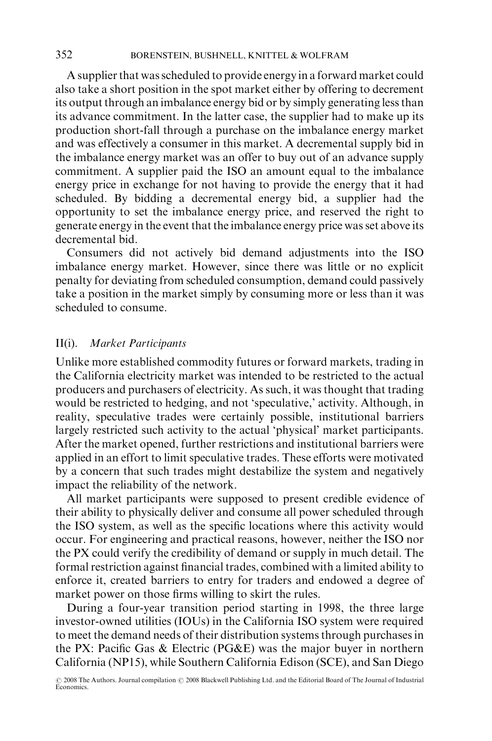A supplier that was scheduled to provide energy in a forward market could also take a short position in the spot market either by offering to decrement its output through an imbalance energy bid or by simply generating less than its advance commitment. In the latter case, the supplier had to make up its production short-fall through a purchase on the imbalance energy market and was effectively a consumer in this market. A decremental supply bid in the imbalance energy market was an offer to buy out of an advance supply commitment. A supplier paid the ISO an amount equal to the imbalance energy price in exchange for not having to provide the energy that it had scheduled. By bidding a decremental energy bid, a supplier had the opportunity to set the imbalance energy price, and reserved the right to generate energy in the event that the imbalance energy price was set above its decremental bid.

Consumers did not actively bid demand adjustments into the ISO imbalance energy market. However, since there was little or no explicit penalty for deviating from scheduled consumption, demand could passively take a position in the market simply by consuming more or less than it was scheduled to consume.

## II(i). Market Participants

Unlike more established commodity futures or forward markets, trading in the California electricity market was intended to be restricted to the actual producers and purchasers of electricity. As such, it was thought that trading would be restricted to hedging, and not 'speculative,' activity. Although, in reality, speculative trades were certainly possible, institutional barriers largely restricted such activity to the actual 'physical' market participants. After the market opened, further restrictions and institutional barriers were applied in an effort to limit speculative trades. These efforts were motivated by a concern that such trades might destabilize the system and negatively impact the reliability of the network.

All market participants were supposed to present credible evidence of their ability to physically deliver and consume all power scheduled through the ISO system, as well as the specific locations where this activity would occur. For engineering and practical reasons, however, neither the ISO nor the PX could verify the credibility of demand or supply in much detail. The formal restriction against financial trades, combined with a limited ability to enforce it, created barriers to entry for traders and endowed a degree of market power on those firms willing to skirt the rules.

During a four-year transition period starting in 1998, the three large investor-owned utilities (IOUs) in the California ISO system were required to meet the demand needs of their distribution systems through purchases in the PX: Pacific Gas & Electric (PG&E) was the major buyer in northern California (NP15), while Southern California Edison (SCE), and San Diego

<sup>© 2008</sup> The Authors. Journal compilation © 2008 Blackwell Publishing Ltd. and the Editorial Board of The Journal of Industrial<br>Economics.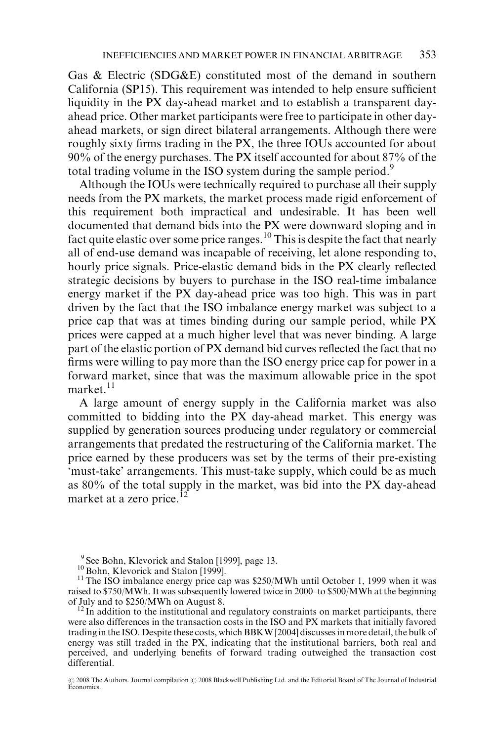Gas & Electric (SDG&E) constituted most of the demand in southern California (SP15). This requirement was intended to help ensure sufficient liquidity in the PX day-ahead market and to establish a transparent dayahead price. Other market participants were free to participate in other dayahead markets, or sign direct bilateral arrangements. Although there were roughly sixty firms trading in the PX, the three IOUs accounted for about 90% of the energy purchases. The PX itself accounted for about 87% of the total trading volume in the ISO system during the sample period.<sup>9</sup>

Although the IOUs were technically required to purchase all their supply needs from the PX markets, the market process made rigid enforcement of this requirement both impractical and undesirable. It has been well documented that demand bids into the PX were downward sloping and in fact quite elastic over some price ranges.<sup>10</sup> This is despite the fact that nearly all of end-use demand was incapable of receiving, let alone responding to, hourly price signals. Price-elastic demand bids in the PX clearly reflected strategic decisions by buyers to purchase in the ISO real-time imbalance energy market if the PX day-ahead price was too high. This was in part driven by the fact that the ISO imbalance energy market was subject to a price cap that was at times binding during our sample period, while PX prices were capped at a much higher level that was never binding. A large part of the elastic portion of PX demand bid curves reflected the fact that no firms were willing to pay more than the ISO energy price cap for power in a forward market, since that was the maximum allowable price in the spot  $market.<sup>11</sup>$ 

A large amount of energy supply in the California market was also committed to bidding into the PX day-ahead market. This energy was supplied by generation sources producing under regulatory or commercial arrangements that predated the restructuring of the California market. The price earned by these producers was set by the terms of their pre-existing 'must-take' arrangements. This must-take supply, which could be as much as 80% of the total supply in the market, was bid into the PX day-ahead market at a zero price.<sup>12</sup>

 $12$  In addition to the institutional and regulatory constraints on market participants, there were also differences in the transaction costs in the ISO and PX markets that initially favored trading in the ISO. Despite these costs, which BBKW [2004] discusses in more detail, the bulk of energy was still traded in the PX, indicating that the institutional barriers, both real and perceived, and underlying benefits of forward trading outweighed the transaction cost differential.

© 2008 The Authors. Journal compilation © 2008 Blackwell Publishing Ltd. and the Editorial Board of The Journal of Industrial Economics.

<sup>&</sup>lt;sup>9</sup> See Bohn, Klevorick and Stalon [1999], page 13.<br><sup>10</sup>Bohn, Klevorick and Stalon [1999].<br><sup>11</sup>The ISO imbalance energy price cap was \$250/MWh until October 1, 1999 when it was raised to \$750/MWh. It was subsequently lowered twice in 2000–to \$500/MWh at the beginning of July and to \$250/MWh on August 8.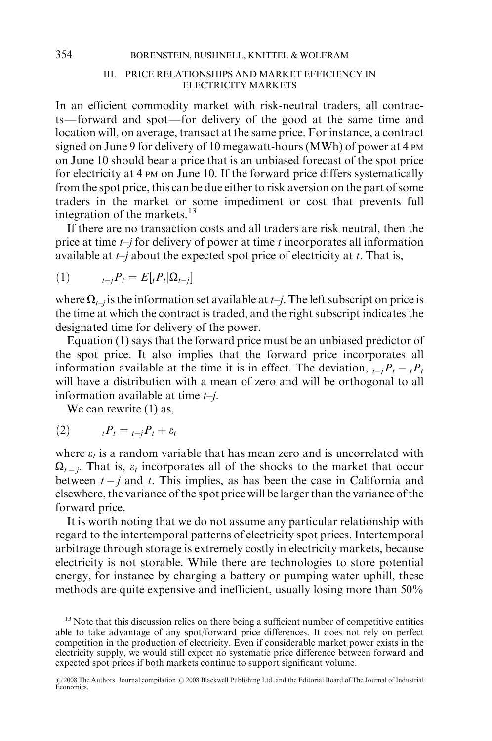354 BORENSTEIN, BUSHNELL, KNITTEL & WOLFRAM

### III. PRICE RELATIONSHIPS AND MARKET EFFICIENCY IN ELECTRICITY MARKETS

In an efficient commodity market with risk-neutral traders, all contracts—forward and spot—for delivery of the good at the same time and location will, on average, transact at the same price. For instance, a contract signed on June 9 for delivery of 10 megawatt-hours (MWh) of power at 4 PM on June 10 should bear a price that is an unbiased forecast of the spot price for electricity at 4 PM on June 10. If the forward price differs systematically from the spot price, this can be due either to risk aversion on the part of some traders in the market or some impediment or cost that prevents full integration of the markets. $^{13}$ 

If there are no transaction costs and all traders are risk neutral, then the price at time  $t-j$  for delivery of power at time t incorporates all information available at  $t-i$  about the expected spot price of electricity at  $t$ . That is,

$$
(1) \qquad \qquad t-jP_t = E[t_1 P_t | \Omega_{t-j}]
$$

where  $\Omega_{t-i}$  is the information set available at  $t-j$ . The left subscript on price is the time at which the contract is traded, and the right subscript indicates the designated time for delivery of the power.

Equation (1) says that the forward price must be an unbiased predictor of the spot price. It also implies that the forward price incorporates all information available at the time it is in effect. The deviation,  $_{t-j}P_t - _tP_t$ will have a distribution with a mean of zero and will be orthogonal to all information available at time  $t-j$ .

We can rewrite  $(1)$  as,

$$
(2) \t tPt = t-jPt + \varepsilont
$$

where  $\varepsilon_t$  is a random variable that has mean zero and is uncorrelated with  $\Omega_{t-j}$ . That is,  $\varepsilon_t$  incorporates all of the shocks to the market that occur between  $t - j$  and t. This implies, as has been the case in California and elsewhere, the variance of the spot price will be larger than the variance of the forward price.

It is worth noting that we do not assume any particular relationship with regard to the intertemporal patterns of electricity spot prices. Intertemporal arbitrage through storage is extremely costly in electricity markets, because electricity is not storable. While there are technologies to store potential energy, for instance by charging a battery or pumping water uphill, these methods are quite expensive and inefficient, usually losing more than 50%

<sup>&</sup>lt;sup>13</sup> Note that this discussion relies on there being a sufficient number of competitive entities able to take advantage of any spot/forward price differences. It does not rely on perfect competition in the production of electricity. Even if considerable market power exists in the electricity supply, we would still expect no systematic price difference between forward and expected spot prices if both markets continue to support significant volume.

<sup>© 2008</sup> The Authors. Journal compilation © 2008 Blackwell Publishing Ltd. and the Editorial Board of The Journal of Industrial<br>Economics.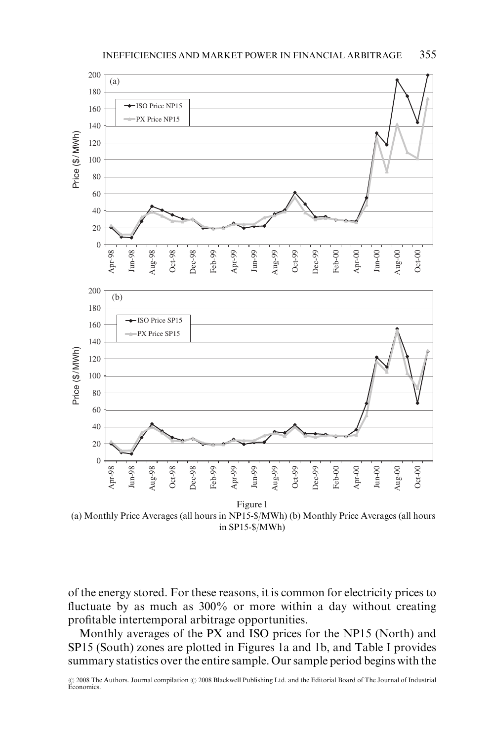

(a) Monthly Price Averages (all hours in NP15-\$/MWh) (b) Monthly Price Averages (all hours in SP15-\$/MWh)

of the energy stored. For these reasons, it is common for electricity prices to fluctuate by as much as 300% or more within a day without creating profitable intertemporal arbitrage opportunities.

Monthly averages of the PX and ISO prices for the NP15 (North) and SP15 (South) zones are plotted in Figures 1a and 1b, and Table I provides summary statistics over the entire sample. Our sample period begins with the

© 2008 The Authors. Journal compilation © 2008 Blackwell Publishing Ltd. and the Editorial Board of The Journal of Industrial<br>Economics.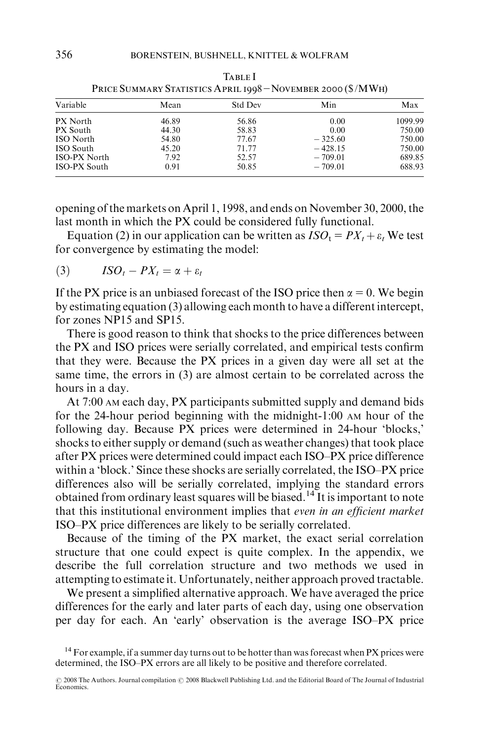|                     |       | $\cdots$       |           |         |
|---------------------|-------|----------------|-----------|---------|
| Variable            | Mean  | <b>Std Dev</b> | Min       | Max     |
| PX North            | 46.89 | 56.86          | 0.00      | 1099.99 |
| PX South            | 44.30 | 58.83          | 0.00      | 750.00  |
| ISO North           | 54.80 | 77.67          | $-325.60$ | 750.00  |
| ISO South           | 45.20 | 71.77          | $-428.15$ | 750.00  |
| <b>ISO-PX North</b> | 7.92  | 52.57          | $-709.01$ | 689.85  |
| ISO-PX South        | 0.91  | 50.85          | $-709.01$ | 688.93  |

| <b>TABLE</b> I                                               |
|--------------------------------------------------------------|
| Price Summary Statistics April 1998 – November 2000 (\$/MWh) |

opening of the markets on April 1, 1998, and ends on November 30, 2000, the last month in which the PX could be considered fully functional.

Equation (2) in our application can be written as  $ISO_t = PX_t + \varepsilon_t$  We test for convergence by estimating the model:

$$
(3) \qquad ISO_t - PX_t = \alpha + \varepsilon_t
$$

If the PX price is an unbiased forecast of the ISO price then  $\alpha = 0$ . We begin by estimating equation (3) allowing each month to have a different intercept, for zones NP15 and SP15.

There is good reason to think that shocks to the price differences between the PX and ISO prices were serially correlated, and empirical tests confirm that they were. Because the PX prices in a given day were all set at the same time, the errors in (3) are almost certain to be correlated across the hours in a day.

At 7:00 AM each day, PX participants submitted supply and demand bids for the 24-hour period beginning with the midnight-1:00 AM hour of the following day. Because PX prices were determined in 24-hour 'blocks,' shocks to either supply or demand (such as weather changes) that took place after PX prices were determined could impact each ISO–PX price difference within a 'block.' Since these shocks are serially correlated, the ISO–PX price differences also will be serially correlated, implying the standard errors obtained from ordinary least squares will be biased.<sup>14</sup> It is important to note that this institutional environment implies that even in an efficient market ISO–PX price differences are likely to be serially correlated.

Because of the timing of the PX market, the exact serial correlation structure that one could expect is quite complex. In the appendix, we describe the full correlation structure and two methods we used in attempting to estimate it. Unfortunately, neither approach proved tractable.

We present a simplified alternative approach. We have averaged the price differences for the early and later parts of each day, using one observation per day for each. An 'early' observation is the average ISO–PX price

 $14$  For example, if a summer day turns out to be hotter than was forecast when PX prices were determined, the ISO–PX errors are all likely to be positive and therefore correlated.

<sup>© 2008</sup> The Authors. Journal compilation © 2008 Blackwell Publishing Ltd. and the Editorial Board of The Journal of Industrial<br>Economics.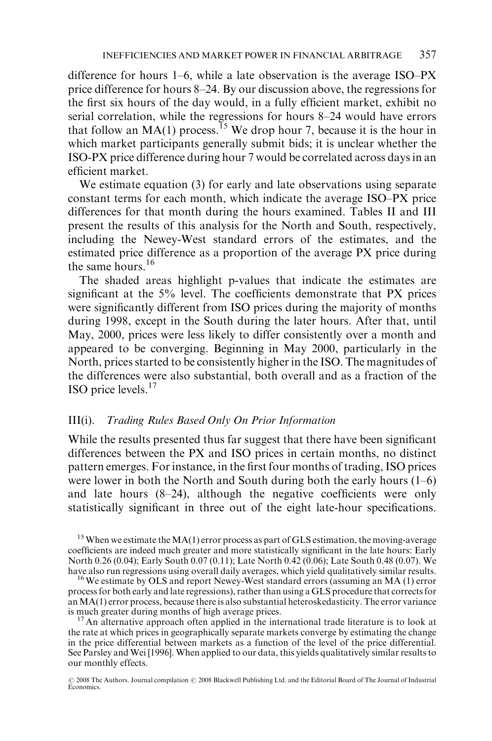difference for hours 1–6, while a late observation is the average ISO–PX price difference for hours 8–24. By our discussion above, the regressions for the first six hours of the day would, in a fully efficient market, exhibit no serial correlation, while the regressions for hours 8–24 would have errors that follow an  $MA(1)$  process.<sup>15</sup> We drop hour 7, because it is the hour in which market participants generally submit bids; it is unclear whether the ISO-PX price difference during hour 7 would be correlated across days in an efficient market.

We estimate equation (3) for early and late observations using separate constant terms for each month, which indicate the average ISO–PX price differences for that month during the hours examined. Tables II and III present the results of this analysis for the North and South, respectively, including the Newey-West standard errors of the estimates, and the estimated price difference as a proportion of the average PX price during the same hours.<sup>16</sup>

The shaded areas highlight p-values that indicate the estimates are significant at the 5% level. The coefficients demonstrate that PX prices were significantly different from ISO prices during the majority of months during 1998, except in the South during the later hours. After that, until May, 2000, prices were less likely to differ consistently over a month and appeared to be converging. Beginning in May 2000, particularly in the North, prices started to be consistently higher in the ISO. The magnitudes of the differences were also substantial, both overall and as a fraction of the ISO price levels.17

## III(i). Trading Rules Based Only On Prior Information

While the results presented thus far suggest that there have been significant differences between the PX and ISO prices in certain months, no distinct pattern emerges. For instance, in the first four months of trading, ISO prices were lower in both the North and South during both the early hours (1–6) and late hours (8–24), although the negative coefficients were only statistically significant in three out of the eight late-hour specifications.

<sup>15</sup> When we estimate the MA(1) error process as part of GLS estimation, the moving-average coefficients are indeed much greater and more statistically significant in the late hours: Early North 0.26 (0.04); Early South 0.07 (0.11); Late North 0.42 (0.06); Late South 0.48 (0.07). We have also run regressions using overall daily averages, which yield qualitatively similar results.

 $17$  An alternative approach often applied in the international trade literature is to look at the rate at which prices in geographically separate markets converge by estimating the change in the price differential between markets as a function of the level of the price differential. See Parsley and Wei [1996]. When applied to our data, this yields qualitatively similar results to our monthly effects.

<sup>&</sup>lt;sup>16</sup> We estimate by OLS and report Newey-West standard errors (assuming an MA (1) error process for both early and late regressions), rather than using a GLS procedure that corrects for an MA(1) error process, because there is also substantial heteroskedasticity. The error variance is much greater during months of high average prices.

<sup>© 2008</sup> The Authors. Journal compilation © 2008 Blackwell Publishing Ltd. and the Editorial Board of The Journal of Industrial Economics.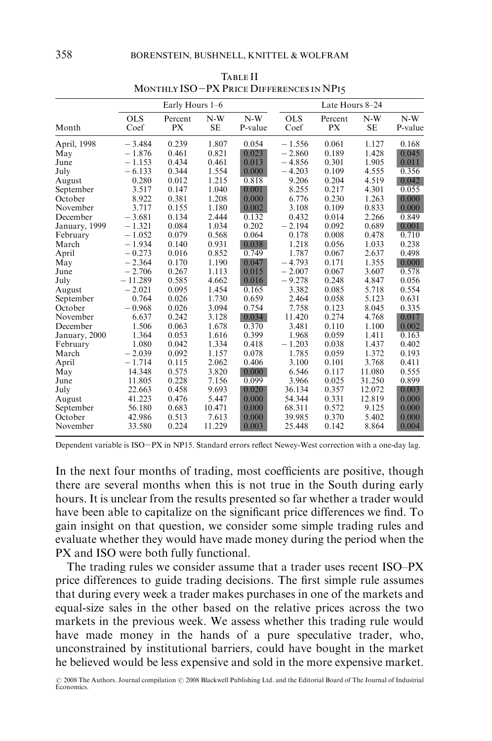|               | Early Hours 1–6    |               |                    |                  | Late Hours 8–24    |                      |                    |                  |
|---------------|--------------------|---------------|--------------------|------------------|--------------------|----------------------|--------------------|------------------|
| Month         | <b>OLS</b><br>Coef | Percent<br>PX | $N-W$<br><b>SE</b> | $N-W$<br>P-value | <b>OLS</b><br>Coef | Percent<br><b>PX</b> | $N-W$<br><b>SE</b> | $N-W$<br>P-value |
| April, 1998   | $-3.484$           | 0.239         | 1.807              | 0.054            | $-1.556$           | 0.061                | 1.127              | 0.168            |
| May           | $-1.876$           | 0.461         | 0.821              | 0.023            | $-2.860$           | 0.189                | 1.428              | 0.045            |
| June          | $-1.153$           | 0.434         | 0.461              | 0.013            | $-4.856$           | 0.301                | 1.905              | 0.011            |
| July          | $-6.133$           | 0.344         | 1.554              | 0.000            | $-4.203$           | 0.109                | 4.555              | 0.356            |
| August        | 0.280              | 0.012         | 1.215              | 0.818            | 9.206              | 0.204                | 4.519              | 0.042            |
| September     | 3.517              | 0.147         | 1.040              | 0.001            | 8.255              | 0.217                | 4.301              | 0.055            |
| October       | 8.922              | 0.381         | 1.208              | 0.000            | 6.776              | 0.230                | 1.263              | 0.000            |
| November      | 3.717              | 0.155         | 1.180              | 0.002            | 3.108              | 0.109                | 0.833              | 0.000            |
| December      | $-3.681$           | 0.134         | 2.444              | 0.132            | 0.432              | 0.014                | 2.266              | 0.849            |
| January, 1999 | $-1.321$           | 0.084         | 1.034              | 0.202            | $-2.194$           | 0.092                | 0.689              | 0.001            |
| February      | $-1.052$           | 0.079         | 0.568              | 0.064            | 0.178              | 0.008                | 0.478              | 0.710            |
| March         | $-1.934$           | 0.140         | 0.931              | 0.038            | 1.218              | 0.056                | 1.033              | 0.238            |
| April         | $-0.273$           | 0.016         | 0.852              | 0.749            | 1.787              | 0.067                | 2.637              | 0.498            |
| May           | $-2.364$           | 0.170         | 1.190              | 0.047            | $-4.793$           | 0.171                | 1.355              | 0.000            |
| June          | $-2.706$           | 0.267         | 1.113              | 0.015            | $-2.007$           | 0.067                | 3.607              | 0.578            |
| July          | $-11.289$          | 0.585         | 4.662              | 0.016            | $-9.278$           | 0.248                | 4.847              | 0.056            |
| August        | $-2.021$           | 0.095         | 1.454              | 0.165            | 3.382              | 0.085                | 5.718              | 0.554            |
| September     | 0.764              | 0.026         | 1.730              | 0.659            | 2.464              | 0.058                | 5.123              | 0.631            |
| October       | $-0.968$           | 0.026         | 3.094              | 0.754            | 7.758              | 0.123                | 8.045              | 0.335            |
| November      | 6.637              | 0.242         | 3.128              | 0.034            | 11.420             | 0.274                | 4.768              | 0.017            |
| December      | 1.506              | 0.063         | 1.678              | 0.370            | 3.481              | 0.110                | 1.100              | 0.002            |
| January, 2000 | 1.364              | 0.053         | 1.616              | 0.399            | 1.968              | 0.059                | 1.411              | 0.163            |
| February      | 1.080              | 0.042         | 1.334              | 0.418            | $-1.203$           | 0.038                | 1.437              | 0.402            |
| March         | $-2.039$           | 0.092         | 1.157              | 0.078            | 1.785              | 0.059                | 1.372              | 0.193            |
| April         | $-1.714$           | 0.115         | 2.062              | 0.406            | 3.100              | 0.101                | 3.768              | 0.411            |
| May           | 14.348             | 0.575         | 3.820              | 0.000            | 6.546              | 0.117                | 11.080             | 0.555            |
| June          | 11.805             | 0.228         | 7.156              | 0.099            | 3.966              | 0.025                | 31.250             | 0.899            |
| July          | 22.663             | 0.458         | 9.693              | 0.020            | 36.134             | 0.357                | 12.072             | 0.003            |
| August        | 41.223             | 0.476         | 5.447              | 0.000            | 54.344             | 0.331                | 12.819             | 0.000            |
| September     | 56.180             | 0.683         | 10.471             | 0.000            | 68.311             | 0.572                | 9.125              | 0.000            |
| October       | 42.986             | 0.513         | 7.613              | 0.000            | 39.985             | 0.370                | 5.402              | 0.000            |
| November      | 33.580             | 0.224         | 11.229             | 0.003            | 25.448             | 0.142                | 8.864              | 0.004            |

Table II MONTHLY ISO-PX PRICE DIFFERENCES IN NP15

Dependent variable is ISO-PX in NP15. Standard errors reflect Newey-West correction with a one-day lag.

In the next four months of trading, most coefficients are positive, though there are several months when this is not true in the South during early hours. It is unclear from the results presented so far whether a trader would have been able to capitalize on the significant price differences we find. To gain insight on that question, we consider some simple trading rules and evaluate whether they would have made money during the period when the PX and ISO were both fully functional.

The trading rules we consider assume that a trader uses recent ISO–PX price differences to guide trading decisions. The first simple rule assumes that during every week a trader makes purchases in one of the markets and equal-size sales in the other based on the relative prices across the two markets in the previous week. We assess whether this trading rule would have made money in the hands of a pure speculative trader, who, unconstrained by institutional barriers, could have bought in the market he believed would be less expensive and sold in the more expensive market.

© 2008 The Authors. Journal compilation © 2008 Blackwell Publishing Ltd. and the Editorial Board of The Journal of Industrial<br>Economics.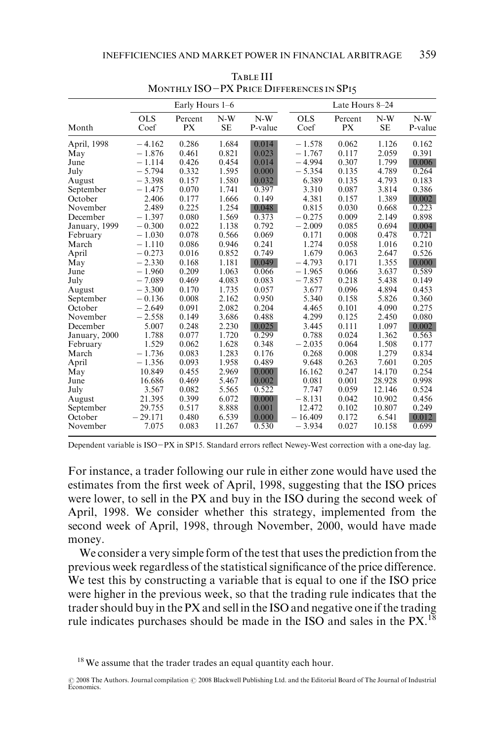|               |                    | Early Hours 1–6      |                    |                  |                    | Late Hours 8–24 |                    |                  |  |
|---------------|--------------------|----------------------|--------------------|------------------|--------------------|-----------------|--------------------|------------------|--|
| Month         | <b>OLS</b><br>Coef | Percent<br><b>PX</b> | $N-W$<br><b>SE</b> | $N-W$<br>P-value | <b>OLS</b><br>Coef | Percent<br>PX   | $N-W$<br><b>SE</b> | $N-W$<br>P-value |  |
| April, 1998   | $-4.162$           | 0.286                | 1.684              | 0.014            | $-1.578$           | 0.062           | 1.126              | 0.162            |  |
| May           | $-1.876$           | 0.461                | 0.821              | 0.023            | $-1.767$           | 0.117           | 2.059              | 0.391            |  |
| June          | $-1.114$           | 0.426                | 0.454              | 0.014            | $-4.994$           | 0.307           | 1.799              | 0.006            |  |
| July          | $-5.794$           | 0.332                | 1.595              | 0.000            | $-5.354$           | 0.135           | 4.789              | 0.264            |  |
| August        | $-3.398$           | 0.157                | 1.580              | 0.032            | 6.389              | 0.135           | 4.793              | 0.183            |  |
| September     | $-1.475$           | 0.070                | 1.741              | 0.397            | 3.310              | 0.087           | 3.814              | 0.386            |  |
| October       | 2.406              | 0.177                | 1.666              | 0.149            | 4.381              | 0.157           | 1.389              | 0.002            |  |
| November      | 2.489              | 0.225                | 1.254              | 0.048            | 0.815              | 0.030           | 0.668              | 0.223            |  |
| December      | $-1.397$           | 0.080                | 1.569              | 0.373            | $-0.275$           | 0.009           | 2.149              | 0.898            |  |
| January, 1999 | $-0.300$           | 0.022                | 1.138              | 0.792            | $-2.009$           | 0.085           | 0.694              | 0.004            |  |
| February      | $-1.030$           | 0.078                | 0.566              | 0.069            | 0.171              | 0.008           | 0.478              | 0.721            |  |
| March         | $-1.110$           | 0.086                | 0.946              | 0.241            | 1.274              | 0.058           | 1.016              | 0.210            |  |
| April         | $-0.273$           | 0.016                | 0.852              | 0.749            | 1.679              | 0.063           | 2.647              | 0.526            |  |
| May           | $-2.330$           | 0.168                | 1.181              | 0.049            | $-4.793$           | 0.171           | 1.355              | 0.000            |  |
| June          | $-1.960$           | 0.209                | 1.063              | 0.066            | $-1.965$           | 0.066           | 3.637              | 0.589            |  |
| July          | $-7.089$           | 0.469                | 4.083              | 0.083            | $-7.857$           | 0.218           | 5.438              | 0.149            |  |
| August        | $-3.300$           | 0.170                | 1.735              | 0.057            | 3.677              | 0.096           | 4.894              | 0.453            |  |
| September     | $-0.136$           | 0.008                | 2.162              | 0.950            | 5.340              | 0.158           | 5.826              | 0.360            |  |
| October       | $-2.649$           | 0.091                | 2.082              | 0.204            | 4.465              | 0.101           | 4.090              | 0.275            |  |
| November      | $-2.558$           | 0.149                | 3.686              | 0.488            | 4.299              | 0.125           | 2.450              | 0.080            |  |
| December      | 5.007              | 0.248                | 2.230              | 0.025            | 3.445              | 0.111           | 1.097              | 0.002            |  |
| January, 2000 | 1.788              | 0.077                | 1.720              | 0.299            | 0.788              | 0.024           | 1.362              | 0.563            |  |
| February      | 1.529              | 0.062                | 1.628              | 0.348            | $-2.035$           | 0.064           | 1.508              | 0.177            |  |
| March         | $-1.736$           | 0.083                | 1.283              | 0.176            | 0.268              | 0.008           | 1.279              | 0.834            |  |
| April         | $-1.356$           | 0.093                | 1.958              | 0.489            | 9.648              | 0.263           | 7.601              | 0.205            |  |
| May           | 10.849             | 0.455                | 2.969              | 0.000            | 16.162             | 0.247           | 14.170             | 0.254            |  |
| June          | 16.686             | 0.469                | 5.467              | 0.002            | 0.081              | 0.001           | 28.928             | 0.998            |  |
| July          | 3.567              | 0.082                | 5.565              | 0.522            | 7.747              | 0.059           | 12.146             | 0.524            |  |
| August        | 21.395             | 0.399                | 6.072              | 0.000            | $-8.131$           | 0.042           | 10.902             | 0.456            |  |
| September     | 29.755             | 0.517                | 8.888              | 0.001            | 12.472             | 0.102           | 10.807             | 0.249            |  |
| October       | $-29.171$          | 0.480                | 6.539              | 0.000            | $-16.409$          | 0.172           | 6.541              | 0.012            |  |
| November      | 7.075              | 0.083                | 11.267             | 0.530            | $-3.934$           | 0.027           | 10.158             | 0.699            |  |

TABLE III MONTHLY ISO-PX PRICE DIFFERENCES IN SP15

Dependent variable is ISO-PX in SP15. Standard errors reflect Newey-West correction with a one-day lag.

For instance, a trader following our rule in either zone would have used the estimates from the first week of April, 1998, suggesting that the ISO prices were lower, to sell in the PX and buy in the ISO during the second week of April, 1998. We consider whether this strategy, implemented from the second week of April, 1998, through November, 2000, would have made money.

We consider a very simple form of the test that uses the prediction from the previous week regardless of the statistical significance of the price difference. We test this by constructing a variable that is equal to one if the ISO price were higher in the previous week, so that the trading rule indicates that the trader should buy in the PX and sell in the ISO and negative one if the trading rule indicates purchases should be made in the ISO and sales in the  $PX<sup>18</sup>$ 

<sup>&</sup>lt;sup>18</sup> We assume that the trader trades an equal quantity each hour.

<sup>© 2008</sup> The Authors. Journal compilation © 2008 Blackwell Publishing Ltd. and the Editorial Board of The Journal of Industrial Economics.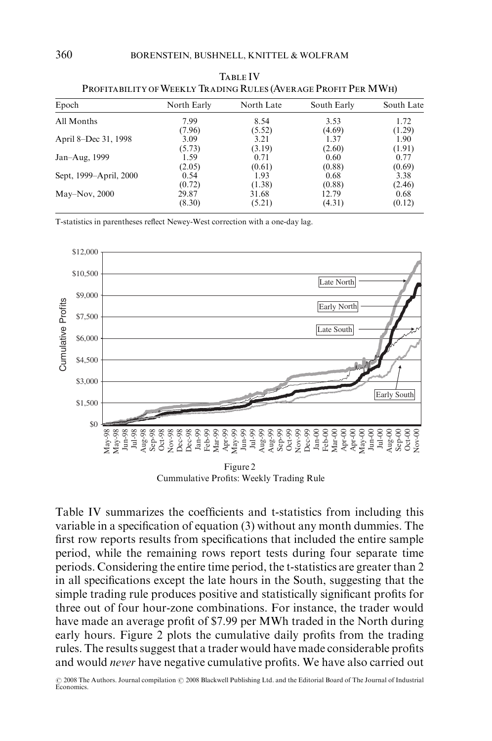| Epoch                  | North Early | North Late | South Early | South Late |
|------------------------|-------------|------------|-------------|------------|
| All Months             | 7.99        | 8.54       | 3.53        | 1.72       |
|                        | (7.96)      | (5.52)     | (4.69)      | (1.29)     |
| April 8–Dec 31, 1998   | 3.09        | 3.21       | 1.37        | 1.90       |
|                        | (5.73)      | (3.19)     | (2.60)      | (1.91)     |
| Jan-Aug, 1999          | 1.59        | 0.71       | 0.60        | 0.77       |
|                        | (2.05)      | (0.61)     | (0.88)      | (0.69)     |
| Sept. 1999–April, 2000 | 0.54        | 1.93       | 0.68        | 3.38       |
|                        | (0.72)      | (1.38)     | (0.88)      | (2.46)     |
| May-Nov, $2000$        | 29.87       | 31.68      | 12.79       | 0.68       |
|                        | (8.30)      | (5.21)     | (4.31)      | (0.12)     |

| <b>TABLE IV</b>                                                |
|----------------------------------------------------------------|
| PROFITABILITY OF WEEKLY TRADING RULES (AVERAGE PROFIT PER MWH) |

T-statistics in parentheses reflect Newey-West correction with a one-day lag.



Cummulative Profits: Weekly Trading Rule

Table IV summarizes the coefficients and t-statistics from including this variable in a specification of equation (3) without any month dummies. The first row reports results from specifications that included the entire sample period, while the remaining rows report tests during four separate time periods. Considering the entire time period, the t-statistics are greater than 2 in all specifications except the late hours in the South, suggesting that the simple trading rule produces positive and statistically significant profits for three out of four hour-zone combinations. For instance, the trader would have made an average profit of \$7.99 per MWh traded in the North during early hours. Figure 2 plots the cumulative daily profits from the trading rules. The results suggest that a trader would have made considerable profits and would never have negative cumulative profits. We have also carried out

© 2008 The Authors. Journal compilation © 2008 Blackwell Publishing Ltd. and the Editorial Board of The Journal of Industrial<br>Economics.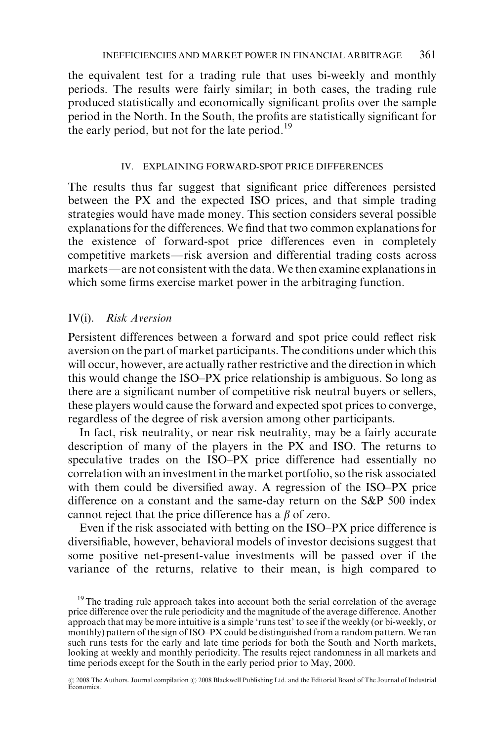the equivalent test for a trading rule that uses bi-weekly and monthly periods. The results were fairly similar; in both cases, the trading rule produced statistically and economically significant profits over the sample period in the North. In the South, the profits are statistically significant for the early period, but not for the late period.<sup>19</sup>

### IV. EXPLAINING FORWARD-SPOT PRICE DIFFERENCES

The results thus far suggest that significant price differences persisted between the PX and the expected ISO prices, and that simple trading strategies would have made money. This section considers several possible explanations for the differences. We find that two common explanations for the existence of forward-spot price differences even in completely competitive markets—risk aversion and differential trading costs across markets—are not consistent with the data. We then examine explanations in which some firms exercise market power in the arbitraging function.

## IV(i). Risk Aversion

Persistent differences between a forward and spot price could reflect risk aversion on the part of market participants. The conditions under which this will occur, however, are actually rather restrictive and the direction in which this would change the ISO–PX price relationship is ambiguous. So long as there are a significant number of competitive risk neutral buyers or sellers, these players would cause the forward and expected spot prices to converge, regardless of the degree of risk aversion among other participants.

In fact, risk neutrality, or near risk neutrality, may be a fairly accurate description of many of the players in the PX and ISO. The returns to speculative trades on the ISO–PX price difference had essentially no correlation with an investment in the market portfolio, so the risk associated with them could be diversified away. A regression of the ISO–PX price difference on a constant and the same-day return on the S&P 500 index cannot reject that the price difference has a  $\beta$  of zero.

Even if the risk associated with betting on the ISO–PX price difference is diversifiable, however, behavioral models of investor decisions suggest that some positive net-present-value investments will be passed over if the variance of the returns, relative to their mean, is high compared to

<sup>19</sup>The trading rule approach takes into account both the serial correlation of the average price difference over the rule periodicity and the magnitude of the average difference. Another approach that may be more intuitive is a simple 'runs test' to see if the weekly (or bi-weekly, or monthly) pattern of the sign of ISO–PX could be distinguished from a random pattern. We ran such runs tests for the early and late time periods for both the South and North markets, looking at weekly and monthly periodicity. The results reject randomness in all markets and time periods except for the South in the early period prior to May, 2000.

© 2008 The Authors. Journal compilation © 2008 Blackwell Publishing Ltd. and the Editorial Board of The Journal of Industrial<br>Economics.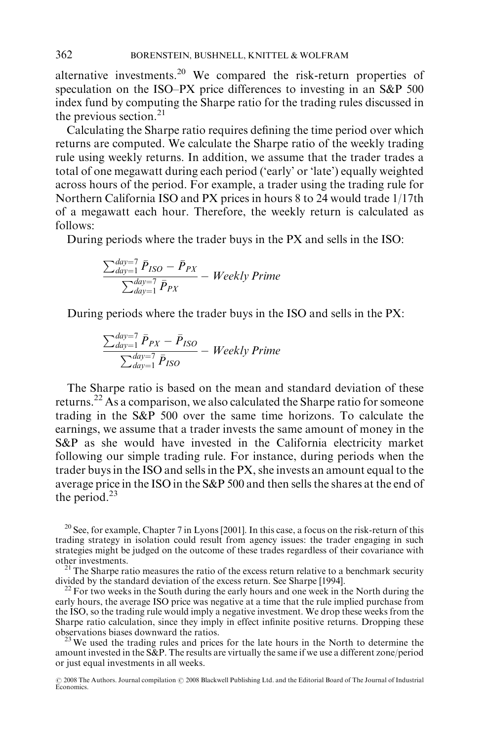alternative investments.<sup>20</sup> We compared the risk-return properties of speculation on the ISO–PX price differences to investing in an S&P 500 index fund by computing the Sharpe ratio for the trading rules discussed in the previous section. $2<sup>1</sup>$ 

Calculating the Sharpe ratio requires defining the time period over which returns are computed. We calculate the Sharpe ratio of the weekly trading rule using weekly returns. In addition, we assume that the trader trades a total of one megawatt during each period ('early' or 'late') equally weighted across hours of the period. For example, a trader using the trading rule for Northern California ISO and PX prices in hours 8 to 24 would trade 1/17th of a megawatt each hour. Therefore, the weekly return is calculated as follows:

During periods where the trader buys in the PX and sells in the ISO:

$$
\frac{\sum_{day=1}^{day=7} \bar{P}_{ISO} - \bar{P}_{PX}}{\sum_{day=1}^{day=7} \bar{P}_{PX}} - \text{ \textit{Weakly Prime}}
$$

During periods where the trader buys in the ISO and sells in the PX:

$$
\frac{\sum_{day=1}^{day=7} \bar{P}_{PX} - \bar{P}_{ISO}}{\sum_{day=1}^{day=7} \bar{P}_{ISO}} - \text{ \textit{Weakly Prime}}
$$

The Sharpe ratio is based on the mean and standard deviation of these returns.<sup>22</sup> As a comparison, we also calculated the Sharpe ratio for someone trading in the S&P 500 over the same time horizons. To calculate the earnings, we assume that a trader invests the same amount of money in the S&P as she would have invested in the California electricity market following our simple trading rule. For instance, during periods when the trader buys in the ISO and sells in the PX, she invests an amount equal to the average price in the ISO in the S&P 500 and then sells the shares at the end of the period. $23$ 

 $20$  See, for example, Chapter 7 in Lyons [2001]. In this case, a focus on the risk-return of this trading strategy in isolation could result from agency issues: the trader engaging in such strategies might be judged on the outcome of these trades regardless of their covariance with

other investments.<br><sup>21</sup>The Sharpe ratio measures the ratio of the excess return relative to a benchmark security<br>divided by the standard deviation of the excess return. See Sharpe [1994].

 $\frac{22}{2}$  For two weeks in the South during the early hours and one week in the North during the early hours, the average ISO price was negative at a time that the rule implied purchase from the ISO, so the trading rule would imply a negative investment. We drop these weeks from the Sharpe ratio calculation, since they imply in effect infinite positive returns. Dropping these

<sup>23</sup> We used the trading rules and prices for the late hours in the North to determine the amount invested in the S&P. The results are virtually the same if we use a different zone/period or just equal investments in all weeks.

<sup>© 2008</sup> The Authors. Journal compilation © 2008 Blackwell Publishing Ltd. and the Editorial Board of The Journal of Industrial<br>Economics.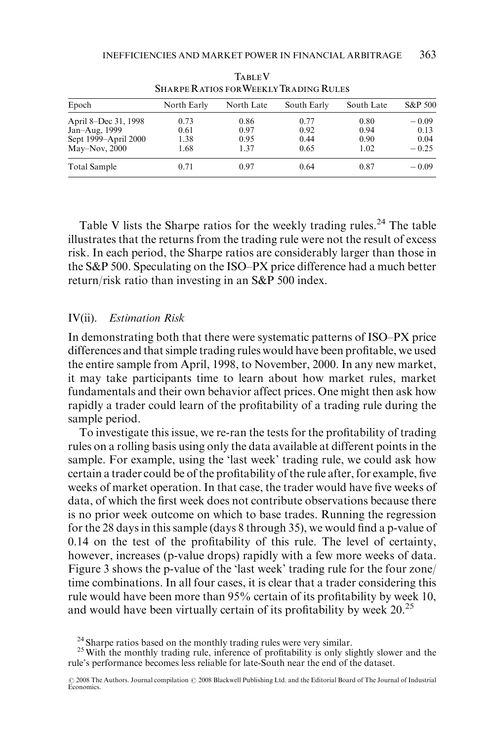| SHARPE KAHOS FOR WEEKLY TRADING KULES |             |            |             |            |                    |  |  |
|---------------------------------------|-------------|------------|-------------|------------|--------------------|--|--|
| Epoch                                 | North Early | North Late | South Early | South Late | <b>S&amp;P</b> 500 |  |  |
| April 8–Dec 31, 1998                  | 0.73        | 0.86       | 0.77        | 0.80       | $-0.09$            |  |  |
| Jan-Aug, 1999                         | 0.61        | 0.97       | 0.92        | 0.94       | 0.13               |  |  |
| Sept 1999–April 2000                  | 1.38        | 0.95       | 0.44        | 0.90       | 0.04               |  |  |
| May-Nov, $2000$                       | 1.68        | 1.37       | 0.65        | 1.02       | $-0.25$            |  |  |
| Total Sample                          | 0.71        | 0.97       | 0.64        | 0.87       | $-0.09$            |  |  |

**TABLEV** Sharpe Ratios forWeeklyTrading Rules

Table V lists the Sharpe ratios for the weekly trading rules.<sup>24</sup> The table illustrates that the returns from the trading rule were not the result of excess risk. In each period, the Sharpe ratios are considerably larger than those in the S&P 500. Speculating on the ISO–PX price difference had a much better return/risk ratio than investing in an S&P 500 index.

## IV(ii). Estimation Risk

In demonstrating both that there were systematic patterns of ISO–PX price differences and that simple trading rules would have been profitable, we used the entire sample from April, 1998, to November, 2000. In any new market, it may take participants time to learn about how market rules, market fundamentals and their own behavior affect prices. One might then ask how rapidly a trader could learn of the profitability of a trading rule during the sample period.

To investigate this issue, we re-ran the tests for the profitability of trading rules on a rolling basis using only the data available at different points in the sample. For example, using the 'last week' trading rule, we could ask how certain a trader could be of the profitability of the rule after, for example, five weeks of market operation. In that case, the trader would have five weeks of data, of which the first week does not contribute observations because there is no prior week outcome on which to base trades. Running the regression for the 28 days in this sample (days 8 through 35), we would find a p-value of 0.14 on the test of the profitability of this rule. The level of certainty, however, increases (p-value drops) rapidly with a few more weeks of data. Figure 3 shows the p-value of the 'last week' trading rule for the four zone/ time combinations. In all four cases, it is clear that a trader considering this rule would have been more than 95% certain of its profitability by week 10, and would have been virtually certain of its profitability by week 20.<sup>25</sup>

<sup>&</sup>lt;sup>24</sup> Sharpe ratios based on the monthly trading rules were very similar.  $25$  With the monthly trading rule, inference of profitability is only slightly slower and the rule's performance becomes less reliable for late-South near the end of the dataset.

<sup>© 2008</sup> The Authors. Journal compilation © 2008 Blackwell Publishing Ltd. and the Editorial Board of The Journal of Industrial Economics.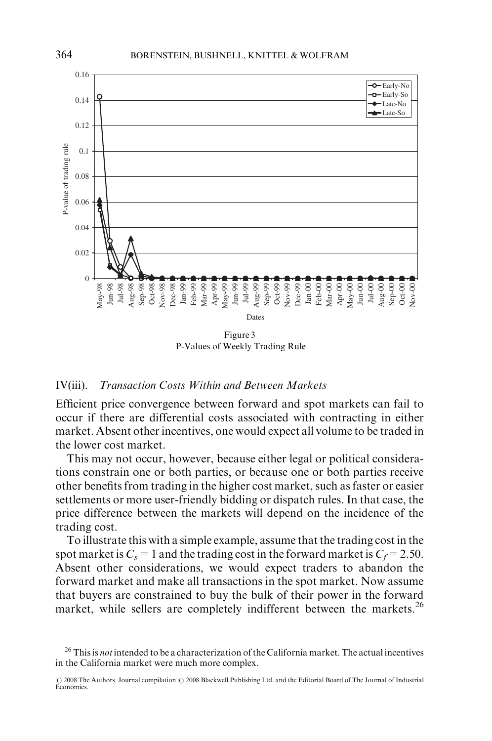

P-Values of Weekly Trading Rule

## IV(iii). Transaction Costs Within and Between Markets

Efficient price convergence between forward and spot markets can fail to occur if there are differential costs associated with contracting in either market. Absent other incentives, one would expect all volume to be traded in the lower cost market.

This may not occur, however, because either legal or political considerations constrain one or both parties, or because one or both parties receive other benefits from trading in the higher cost market, such as faster or easier settlements or more user-friendly bidding or dispatch rules. In that case, the price difference between the markets will depend on the incidence of the trading cost.

To illustrate this with a simple example, assume that the trading cost in the spot market is  $C_s = 1$  and the trading cost in the forward market is  $C_f = 2.50$ . Absent other considerations, we would expect traders to abandon the forward market and make all transactions in the spot market. Now assume that buyers are constrained to buy the bulk of their power in the forward market, while sellers are completely indifferent between the markets.<sup>26</sup>

 $26$ This is *not* intended to be a characterization of the California market. The actual incentives in the California market were much more complex.

<sup>© 2008</sup> The Authors. Journal compilation © 2008 Blackwell Publishing Ltd. and the Editorial Board of The Journal of Industrial<br>Economics.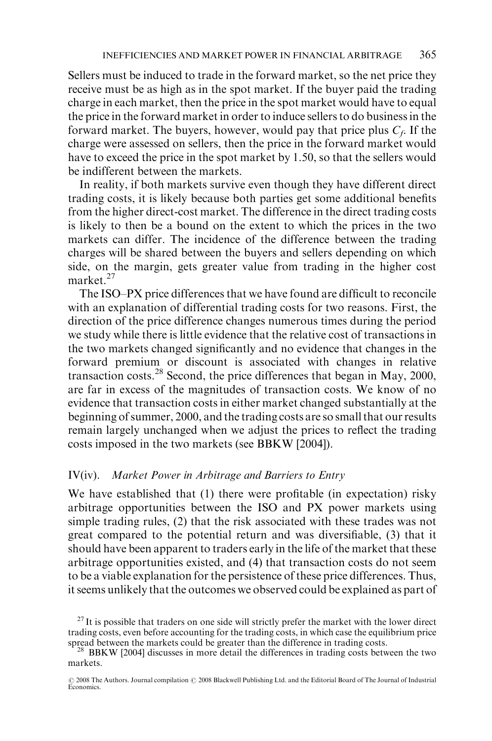Sellers must be induced to trade in the forward market, so the net price they receive must be as high as in the spot market. If the buyer paid the trading charge in each market, then the price in the spot market would have to equal the price in the forward market in order to induce sellers to do business in the forward market. The buyers, however, would pay that price plus  $C_f$ . If the charge were assessed on sellers, then the price in the forward market would have to exceed the price in the spot market by 1.50, so that the sellers would be indifferent between the markets.

In reality, if both markets survive even though they have different direct trading costs, it is likely because both parties get some additional benefits from the higher direct-cost market. The difference in the direct trading costs is likely to then be a bound on the extent to which the prices in the two markets can differ. The incidence of the difference between the trading charges will be shared between the buyers and sellers depending on which side, on the margin, gets greater value from trading in the higher cost market.<sup>27</sup>

The ISO–PX price differences that we have found are difficult to reconcile with an explanation of differential trading costs for two reasons. First, the direction of the price difference changes numerous times during the period we study while there is little evidence that the relative cost of transactions in the two markets changed significantly and no evidence that changes in the forward premium or discount is associated with changes in relative transaction costs.<sup>28</sup> Second, the price differences that began in May, 2000, are far in excess of the magnitudes of transaction costs. We know of no evidence that transaction costs in either market changed substantially at the beginning of summer, 2000, and the trading costs are so small that our results remain largely unchanged when we adjust the prices to reflect the trading costs imposed in the two markets (see BBKW [2004]).

## IV(iv). Market Power in Arbitrage and Barriers to Entry

We have established that (1) there were profitable (in expectation) risky arbitrage opportunities between the ISO and PX power markets using simple trading rules, (2) that the risk associated with these trades was not great compared to the potential return and was diversifiable, (3) that it should have been apparent to traders early in the life of the market that these arbitrage opportunities existed, and (4) that transaction costs do not seem to be a viable explanation for the persistence of these price differences. Thus, it seems unlikely that the outcomes we observed could be explained as part of

 $2<sup>27</sup>$  It is possible that traders on one side will strictly prefer the market with the lower direct trading costs, even before accounting for the trading costs, in which case the equilibrium price

<sup>&</sup>lt;sup>28</sup> BBKW [2004] discusses in more detail the differences in trading costs between the two markets.

<sup>© 2008</sup> The Authors. Journal compilation © 2008 Blackwell Publishing Ltd. and the Editorial Board of The Journal of Industrial Economics.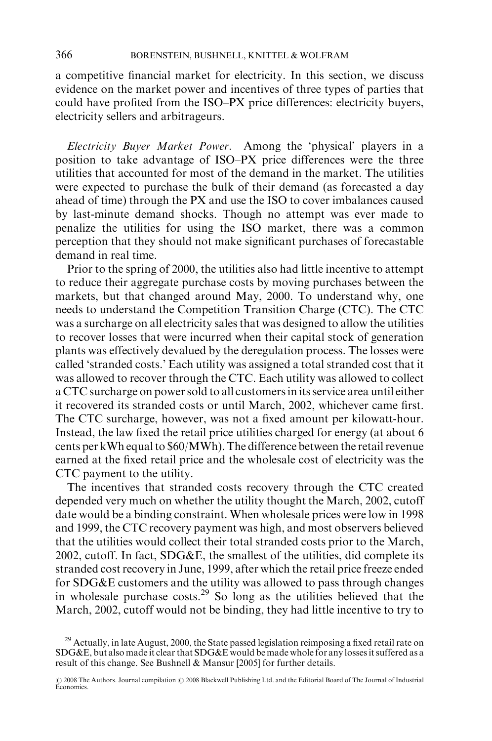a competitive financial market for electricity. In this section, we discuss evidence on the market power and incentives of three types of parties that could have profited from the ISO–PX price differences: electricity buyers, electricity sellers and arbitrageurs.

Electricity Buyer Market Power. Among the 'physical' players in a position to take advantage of ISO–PX price differences were the three utilities that accounted for most of the demand in the market. The utilities were expected to purchase the bulk of their demand (as forecasted a day ahead of time) through the PX and use the ISO to cover imbalances caused by last-minute demand shocks. Though no attempt was ever made to penalize the utilities for using the ISO market, there was a common perception that they should not make significant purchases of forecastable demand in real time.

Prior to the spring of 2000, the utilities also had little incentive to attempt to reduce their aggregate purchase costs by moving purchases between the markets, but that changed around May, 2000. To understand why, one needs to understand the Competition Transition Charge (CTC). The CTC was a surcharge on all electricity sales that was designed to allow the utilities to recover losses that were incurred when their capital stock of generation plants was effectively devalued by the deregulation process. The losses were called 'stranded costs.' Each utility was assigned a total stranded cost that it was allowed to recover through the CTC. Each utility was allowed to collect a CTC surcharge on power sold to all customers in its service area until either it recovered its stranded costs or until March, 2002, whichever came first. The CTC surcharge, however, was not a fixed amount per kilowatt-hour. Instead, the law fixed the retail price utilities charged for energy (at about 6 cents per kWh equal to \$60/MWh). The difference between the retail revenue earned at the fixed retail price and the wholesale cost of electricity was the CTC payment to the utility.

The incentives that stranded costs recovery through the CTC created depended very much on whether the utility thought the March, 2002, cutoff date would be a binding constraint. When wholesale prices were low in 1998 and 1999, the CTC recovery payment was high, and most observers believed that the utilities would collect their total stranded costs prior to the March, 2002, cutoff. In fact, SDG&E, the smallest of the utilities, did complete its stranded cost recovery in June, 1999, after which the retail price freeze ended for SDG&E customers and the utility was allowed to pass through changes in wholesale purchase costs.<sup>29</sup> So long as the utilities believed that the March, 2002, cutoff would not be binding, they had little incentive to try to

<sup>&</sup>lt;sup>29</sup> Actually, in late August, 2000, the State passed legislation reimposing a fixed retail rate on SDG&E, but also made it clear that SDG&E would be made whole for any losses it suffered as a result of this change. See Bushnell & Mansur [2005] for further details.

<sup>© 2008</sup> The Authors. Journal compilation © 2008 Blackwell Publishing Ltd. and the Editorial Board of The Journal of Industrial<br>Economics.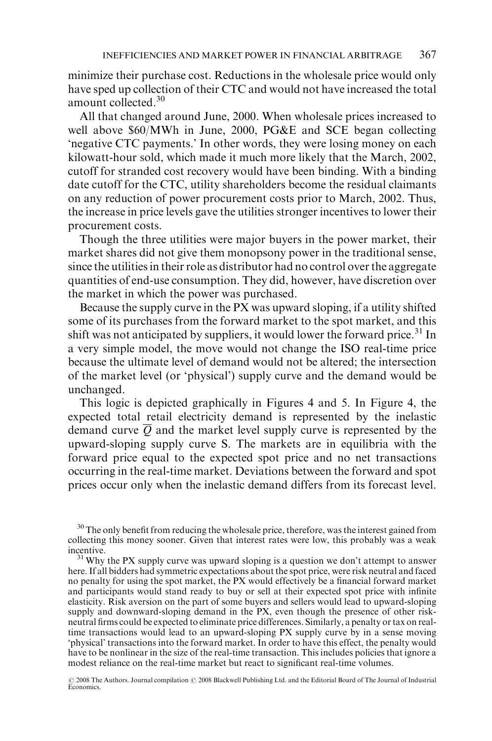minimize their purchase cost. Reductions in the wholesale price would only have sped up collection of their CTC and would not have increased the total amount collected.<sup>30</sup>

All that changed around June, 2000. When wholesale prices increased to well above \$60/MWh in June, 2000, PG&E and SCE began collecting 'negative CTC payments.' In other words, they were losing money on each kilowatt-hour sold, which made it much more likely that the March, 2002, cutoff for stranded cost recovery would have been binding. With a binding date cutoff for the CTC, utility shareholders become the residual claimants on any reduction of power procurement costs prior to March, 2002. Thus, the increase in price levels gave the utilities stronger incentives to lower their procurement costs.

Though the three utilities were major buyers in the power market, their market shares did not give them monopsony power in the traditional sense, since the utilities in their role as distributor had no control over the aggregate quantities of end-use consumption. They did, however, have discretion over the market in which the power was purchased.

Because the supply curve in the PX was upward sloping, if a utility shifted some of its purchases from the forward market to the spot market, and this shift was not anticipated by suppliers, it would lower the forward price.<sup>31</sup> In a very simple model, the move would not change the ISO real-time price because the ultimate level of demand would not be altered; the intersection of the market level (or 'physical') supply curve and the demand would be unchanged.

This logic is depicted graphically in Figures 4 and 5. In Figure 4, the expected total retail electricity demand is represented by the inelastic demand curve  $\overline{O}$  and the market level supply curve is represented by the upward-sloping supply curve S. The markets are in equilibria with the forward price equal to the expected spot price and no net transactions occurring in the real-time market. Deviations between the forward and spot prices occur only when the inelastic demand differs from its forecast level.

<sup>&</sup>lt;sup>30</sup> The only benefit from reducing the wholesale price, therefore, was the interest gained from collecting this money sooner. Given that interest rates were low, this probably was a weak incentive.<br><sup>31</sup>Why the PX supply curve was upward sloping is a question we don't attempt to answer

here. If all bidders had symmetric expectations about the spot price, were risk neutral and faced no penalty for using the spot market, the PX would effectively be a financial forward market and participants would stand ready to buy or sell at their expected spot price with infinite elasticity. Risk aversion on the part of some buyers and sellers would lead to upward-sloping supply and downward-sloping demand in the PX, even though the presence of other riskneutral firms could be expected to eliminate price differences. Similarly, a penalty or tax on realtime transactions would lead to an upward-sloping PX supply curve by in a sense moving 'physical' transactions into the forward market. In order to have this effect, the penalty would have to be nonlinear in the size of the real-time transaction. This includes policies that ignore a modest reliance on the real-time market but react to significant real-time volumes.

<sup>© 2008</sup> The Authors. Journal compilation © 2008 Blackwell Publishing Ltd. and the Editorial Board of The Journal of Industrial<br>Economics.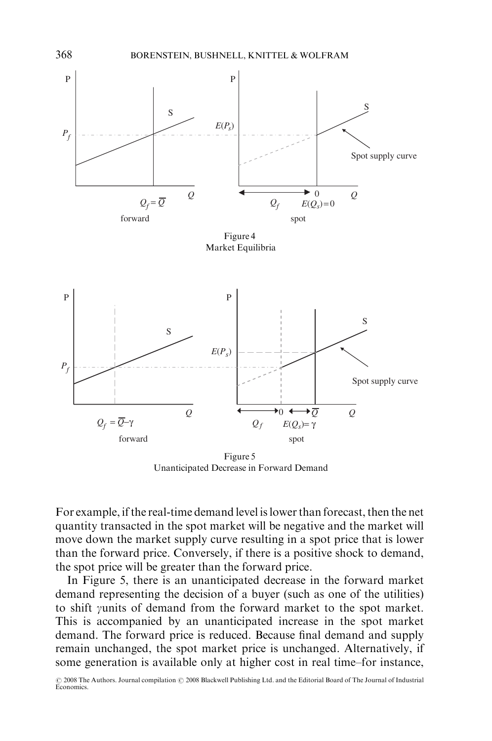

Unanticipated Decrease in Forward Demand

For example, if the real-time demand level is lower than forecast, then the net quantity transacted in the spot market will be negative and the market will move down the market supply curve resulting in a spot price that is lower than the forward price. Conversely, if there is a positive shock to demand, the spot price will be greater than the forward price.

In Figure 5, there is an unanticipated decrease in the forward market demand representing the decision of a buyer (such as one of the utilities) to shift yunits of demand from the forward market to the spot market. This is accompanied by an unanticipated increase in the spot market demand. The forward price is reduced. Because final demand and supply remain unchanged, the spot market price is unchanged. Alternatively, if some generation is available only at higher cost in real time–for instance,

<sup>© 2008</sup> The Authors. Journal compilation © 2008 Blackwell Publishing Ltd. and the Editorial Board of The Journal of Industrial<br>Economics.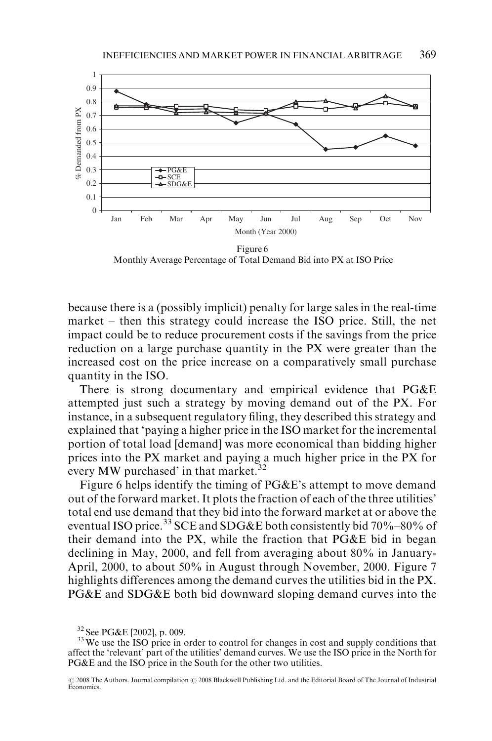

Monthly Average Percentage of Total Demand Bid into PX at ISO Price

because there is a (possibly implicit) penalty for large sales in the real-time market – then this strategy could increase the ISO price. Still, the net impact could be to reduce procurement costs if the savings from the price reduction on a large purchase quantity in the PX were greater than the increased cost on the price increase on a comparatively small purchase quantity in the ISO.

There is strong documentary and empirical evidence that PG&E attempted just such a strategy by moving demand out of the PX. For instance, in a subsequent regulatory filing, they described this strategy and explained that 'paying a higher price in the ISO market for the incremental portion of total load [demand] was more economical than bidding higher prices into the PX market and paying a much higher price in the PX for every MW purchased' in that market.<sup>32</sup>

Figure 6 helps identify the timing of PG&E's attempt to move demand out of the forward market. It plots the fraction of each of the three utilities' total end use demand that they bid into the forward market at or above the eventual ISO price.<sup>33</sup> SCE and SDG&E both consistently bid  $70\% - 80\%$  of their demand into the PX, while the fraction that PG&E bid in began declining in May, 2000, and fell from averaging about 80% in January-April, 2000, to about 50% in August through November, 2000. Figure 7 highlights differences among the demand curves the utilities bid in the PX. PG&E and SDG&E both bid downward sloping demand curves into the

<sup>&</sup>lt;sup>32</sup> See PG&E [2002], p. 009.<br><sup>33</sup> We use the ISO price in order to control for changes in cost and supply conditions that affect the 'relevant' part of the utilities' demand curves. We use the ISO price in the North for PG&E and the ISO price in the South for the other two utilities.

<sup>© 2008</sup> The Authors. Journal compilation © 2008 Blackwell Publishing Ltd. and the Editorial Board of The Journal of Industrial Economics.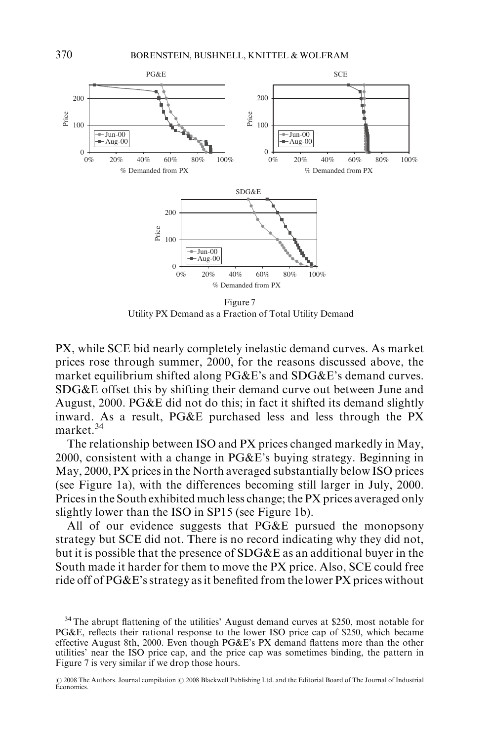

Utility PX Demand as a Fraction of Total Utility Demand

PX, while SCE bid nearly completely inelastic demand curves. As market prices rose through summer, 2000, for the reasons discussed above, the market equilibrium shifted along PG&E's and SDG&E's demand curves. SDG&E offset this by shifting their demand curve out between June and August, 2000. PG&E did not do this; in fact it shifted its demand slightly inward. As a result, PG&E purchased less and less through the PX market<sup>34</sup>

The relationship between ISO and PX prices changed markedly in May, 2000, consistent with a change in PG&E's buying strategy. Beginning in May, 2000, PX prices in the North averaged substantially below ISO prices (see Figure 1a), with the differences becoming still larger in July, 2000. Prices in the South exhibited much less change; the PX prices averaged only slightly lower than the ISO in SP15 (see Figure 1b).

All of our evidence suggests that PG&E pursued the monopsony strategy but SCE did not. There is no record indicating why they did not, but it is possible that the presence of SDG&E as an additional buyer in the South made it harder for them to move the PX price. Also, SCE could free ride off of PG&E's strategy as it benefited from the lower PX prices without

<sup>34</sup>The abrupt flattening of the utilities' August demand curves at \$250, most notable for PG&E, reflects their rational response to the lower ISO price cap of \$250, which became effective August 8th, 2000. Even though PG&E's PX demand flattens more than the other utilities' near the ISO price cap, and the price cap was sometimes binding, the pattern in Figure 7 is very similar if we drop those hours.

<sup>© 2008</sup> The Authors. Journal compilation © 2008 Blackwell Publishing Ltd. and the Editorial Board of The Journal of Industrial<br>Economics.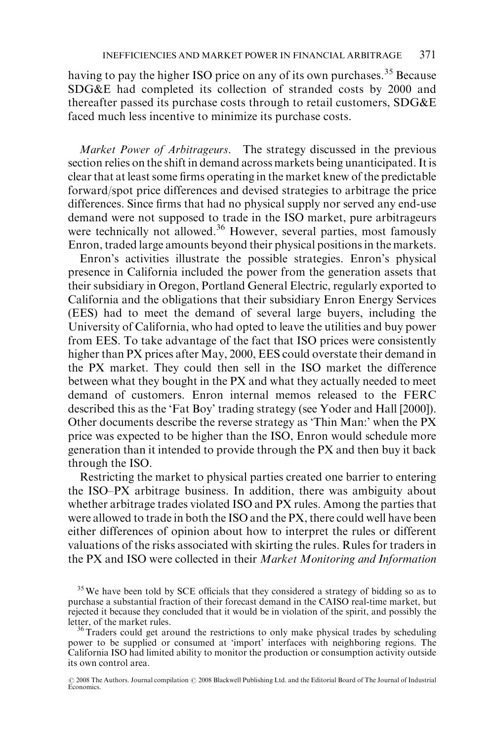having to pay the higher ISO price on any of its own purchases.<sup>35</sup> Because SDG&E had completed its collection of stranded costs by 2000 and thereafter passed its purchase costs through to retail customers, SDG&E faced much less incentive to minimize its purchase costs.

Market Power of Arbitrageurs. The strategy discussed in the previous section relies on the shift in demand across markets being unanticipated. It is clear that at least some firms operating in the market knew of the predictable forward/spot price differences and devised strategies to arbitrage the price differences. Since firms that had no physical supply nor served any end-use demand were not supposed to trade in the ISO market, pure arbitrageurs were technically not allowed.<sup>36</sup> However, several parties, most famously Enron, traded large amounts beyond their physical positions in the markets.

Enron's activities illustrate the possible strategies. Enron's physical presence in California included the power from the generation assets that their subsidiary in Oregon, Portland General Electric, regularly exported to California and the obligations that their subsidiary Enron Energy Services (EES) had to meet the demand of several large buyers, including the University of California, who had opted to leave the utilities and buy power from EES. To take advantage of the fact that ISO prices were consistently higher than PX prices after May, 2000, EES could overstate their demand in the PX market. They could then sell in the ISO market the difference between what they bought in the PX and what they actually needed to meet demand of customers. Enron internal memos released to the FERC described this as the 'Fat Boy' trading strategy (see Yoder and Hall [2000]). Other documents describe the reverse strategy as 'Thin Man:' when the PX price was expected to be higher than the ISO, Enron would schedule more generation than it intended to provide through the PX and then buy it back through the ISO.

Restricting the market to physical parties created one barrier to entering the ISO–PX arbitrage business. In addition, there was ambiguity about whether arbitrage trades violated ISO and PX rules. Among the parties that were allowed to trade in both the ISO and the PX, there could well have been either differences of opinion about how to interpret the rules or different valuations of the risks associated with skirting the rules. Rules for traders in the PX and ISO were collected in their Market Monitoring and Information

<sup>35</sup> We have been told by SCE officials that they considered a strategy of bidding so as to purchase a substantial fraction of their forecast demand in the CAISO real-time market, but rejected it because they concluded that it would be in violation of the spirit, and possibly the letter, of the market rules.<br><sup>36</sup>Traders could get around the restrictions to only make physical trades by scheduling

power to be supplied or consumed at 'import' interfaces with neighboring regions. The California ISO had limited ability to monitor the production or consumption activity outside its own control area.

© 2008 The Authors. Journal compilation © 2008 Blackwell Publishing Ltd. and the Editorial Board of The Journal of Industrial Economics.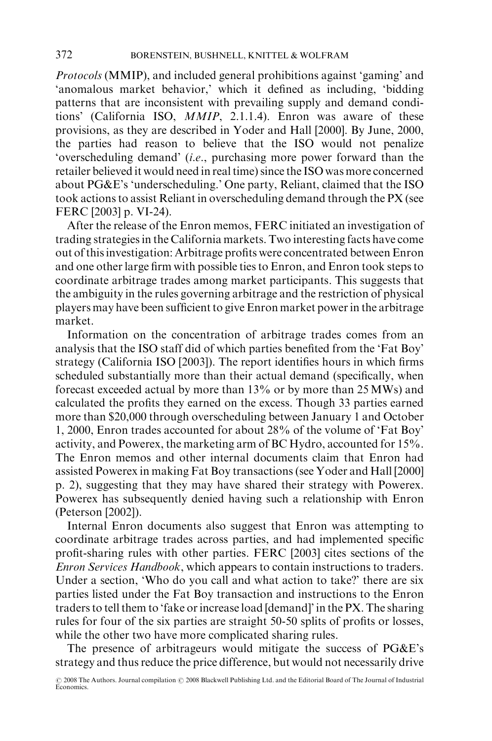Protocols (MMIP), and included general prohibitions against 'gaming' and 'anomalous market behavior,' which it defined as including, 'bidding patterns that are inconsistent with prevailing supply and demand conditions' (California ISO, MMIP, 2.1.1.4). Enron was aware of these provisions, as they are described in Yoder and Hall [2000]. By June, 2000, the parties had reason to believe that the ISO would not penalize 'overscheduling demand' (i.e., purchasing more power forward than the retailer believed it would need in real time) since the ISO was more concerned about PG&E's 'underscheduling.' One party, Reliant, claimed that the ISO took actions to assist Reliant in overscheduling demand through the PX (see FERC [2003] p. VI-24).

After the release of the Enron memos, FERC initiated an investigation of trading strategies in the California markets. Two interesting facts have come out of this investigation: Arbitrage profits were concentrated between Enron and one other large firm with possible ties to Enron, and Enron took steps to coordinate arbitrage trades among market participants. This suggests that the ambiguity in the rules governing arbitrage and the restriction of physical players may have been sufficient to give Enron market power in the arbitrage market.

Information on the concentration of arbitrage trades comes from an analysis that the ISO staff did of which parties benefited from the 'Fat Boy' strategy (California ISO [2003]). The report identifies hours in which firms scheduled substantially more than their actual demand (specifically, when forecast exceeded actual by more than 13% or by more than 25 MWs) and calculated the profits they earned on the excess. Though 33 parties earned more than \$20,000 through overscheduling between January 1 and October 1, 2000, Enron trades accounted for about 28% of the volume of 'Fat Boy' activity, and Powerex, the marketing arm of BC Hydro, accounted for 15%. The Enron memos and other internal documents claim that Enron had assisted Powerex in making Fat Boy transactions (see Yoder and Hall [2000] p. 2), suggesting that they may have shared their strategy with Powerex. Powerex has subsequently denied having such a relationship with Enron (Peterson [2002]).

Internal Enron documents also suggest that Enron was attempting to coordinate arbitrage trades across parties, and had implemented specific profit-sharing rules with other parties. FERC [2003] cites sections of the Enron Services Handbook, which appears to contain instructions to traders. Under a section, 'Who do you call and what action to take?' there are six parties listed under the Fat Boy transaction and instructions to the Enron traders to tell them to 'fake or increase load [demand]' in the PX. The sharing rules for four of the six parties are straight 50-50 splits of profits or losses, while the other two have more complicated sharing rules.

The presence of arbitrageurs would mitigate the success of PG&E's strategy and thus reduce the price difference, but would not necessarily drive

<sup>© 2008</sup> The Authors. Journal compilation © 2008 Blackwell Publishing Ltd. and the Editorial Board of The Journal of Industrial<br>Economics.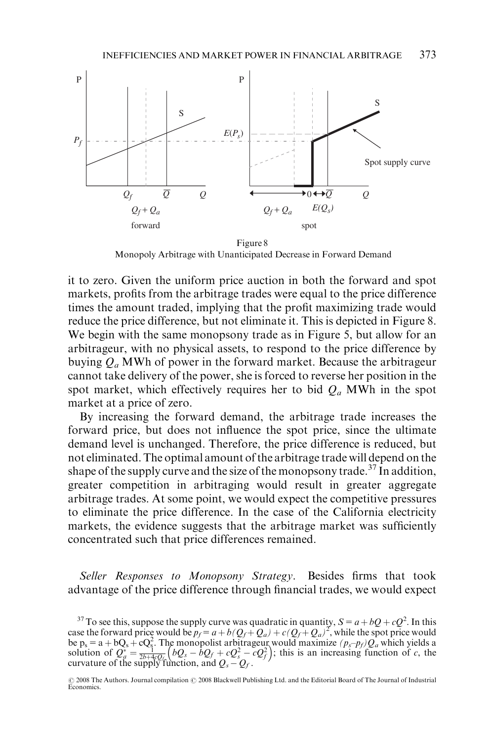

Figure 8 Monopoly Arbitrage with Unanticipated Decrease in Forward Demand

it to zero. Given the uniform price auction in both the forward and spot markets, profits from the arbitrage trades were equal to the price difference times the amount traded, implying that the profit maximizing trade would reduce the price difference, but not eliminate it. This is depicted in Figure 8. We begin with the same monopsony trade as in Figure 5, but allow for an arbitrageur, with no physical assets, to respond to the price difference by buying  $Q_a$  MWh of power in the forward market. Because the arbitrageur cannot take delivery of the power, she is forced to reverse her position in the spot market, which effectively requires her to bid  $Q_a$  MWh in the spot market at a price of zero.

By increasing the forward demand, the arbitrage trade increases the forward price, but does not influence the spot price, since the ultimate demand level is unchanged. Therefore, the price difference is reduced, but not eliminated. The optimal amount of the arbitrage trade will depend on the shape of the supply curve and the size of the monopsony trade.<sup>37</sup> In addition. greater competition in arbitraging would result in greater aggregate arbitrage trades. At some point, we would expect the competitive pressures to eliminate the price difference. In the case of the California electricity markets, the evidence suggests that the arbitrage market was sufficiently concentrated such that price differences remained.

Seller Responses to Monopsony Strategy. Besides firms that took advantage of the price difference through financial trades, we would expect

<sup>&</sup>lt;sup>37</sup> To see this, suppose the supply curve was quadratic in quantity,  $S = a + bQ + cQ^2$ . In this case the forward price would be  $p_f = a + b(Q_f + Q_a) + c(Q_f + Q_a)^2$ , while the spot price would be  $p_s = a + bQ_s + cQ_s^2$ . The monopolist arbitrageur would maximize  $(p_s - p_f)Q_a$  which yields a solution of  $Q_g^* = \frac{1}{2b+4cQ_f} \left(bQ_s - bQ_f + cQ_s^2 - cQ_f^2\right)$ as monopolist arbitrageur would maximize  $(p_s-p_f)Q_a$  which yields a  $\left(bQ_s-bQ_f+cQ_s^2-cQ_f^2\right)$ ; this is an increasing function of c, the curvature of the supply function, and  $Q_s - Q_f$ .

<sup>© 2008</sup> The Authors. Journal compilation © 2008 Blackwell Publishing Ltd. and the Editorial Board of The Journal of Industrial Economics.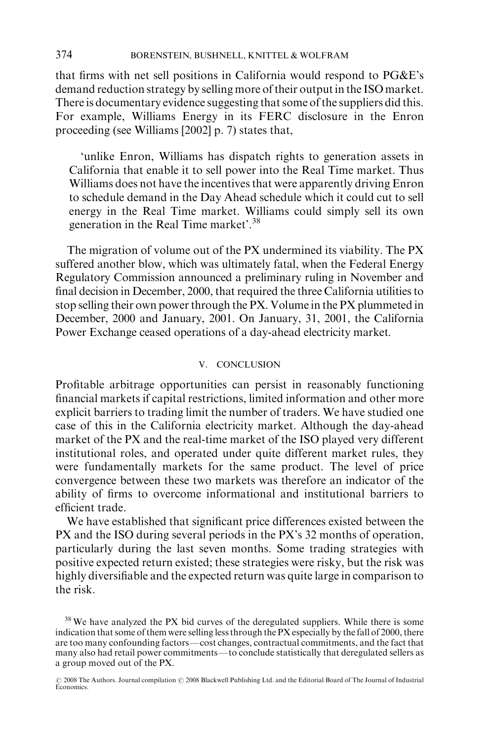that firms with net sell positions in California would respond to PG&E's demand reduction strategy by selling more of their output in the ISO market. There is documentary evidence suggesting that some of the suppliers did this. For example, Williams Energy in its FERC disclosure in the Enron proceeding (see Williams [2002] p. 7) states that,

'unlike Enron, Williams has dispatch rights to generation assets in California that enable it to sell power into the Real Time market. Thus Williams does not have the incentives that were apparently driving Enron to schedule demand in the Day Ahead schedule which it could cut to sell energy in the Real Time market. Williams could simply sell its own generation in the Real Time market'.<sup>38</sup>

The migration of volume out of the PX undermined its viability. The PX suffered another blow, which was ultimately fatal, when the Federal Energy Regulatory Commission announced a preliminary ruling in November and final decision in December, 2000, that required the three California utilities to stop selling their own power through the PX. Volume in the PX plummeted in December, 2000 and January, 2001. On January, 31, 2001, the California Power Exchange ceased operations of a day-ahead electricity market.

## V. CONCLUSION

Profitable arbitrage opportunities can persist in reasonably functioning financial markets if capital restrictions, limited information and other more explicit barriers to trading limit the number of traders. We have studied one case of this in the California electricity market. Although the day-ahead market of the PX and the real-time market of the ISO played very different institutional roles, and operated under quite different market rules, they were fundamentally markets for the same product. The level of price convergence between these two markets was therefore an indicator of the ability of firms to overcome informational and institutional barriers to efficient trade.

We have established that significant price differences existed between the PX and the ISO during several periods in the PX's 32 months of operation, particularly during the last seven months. Some trading strategies with positive expected return existed; these strategies were risky, but the risk was highly diversifiable and the expected return was quite large in comparison to the risk.

<sup>38</sup> We have analyzed the PX bid curves of the deregulated suppliers. While there is some indication that some of them were selling less through the PX especially by the fall of 2000, there are too many confounding factors-cost changes, contractual commitments, and the fact that many also had retail power commitments—to conclude statistically that deregulated sellers as a group moved out of the PX.

© 2008 The Authors. Journal compilation © 2008 Blackwell Publishing Ltd. and the Editorial Board of The Journal of Industrial<br>Economics.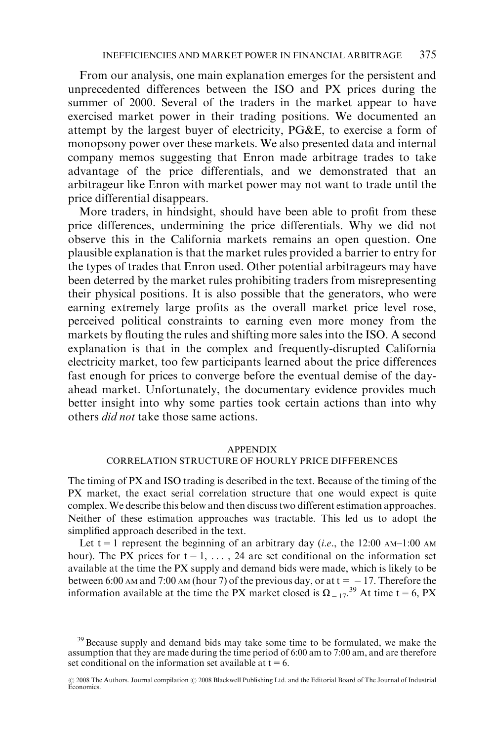From our analysis, one main explanation emerges for the persistent and unprecedented differences between the ISO and PX prices during the summer of 2000. Several of the traders in the market appear to have exercised market power in their trading positions. We documented an attempt by the largest buyer of electricity, PG&E, to exercise a form of monopsony power over these markets. We also presented data and internal company memos suggesting that Enron made arbitrage trades to take advantage of the price differentials, and we demonstrated that an arbitrageur like Enron with market power may not want to trade until the price differential disappears.

More traders, in hindsight, should have been able to profit from these price differences, undermining the price differentials. Why we did not observe this in the California markets remains an open question. One plausible explanation is that the market rules provided a barrier to entry for the types of trades that Enron used. Other potential arbitrageurs may have been deterred by the market rules prohibiting traders from misrepresenting their physical positions. It is also possible that the generators, who were earning extremely large profits as the overall market price level rose, perceived political constraints to earning even more money from the markets by flouting the rules and shifting more sales into the ISO. A second explanation is that in the complex and frequently-disrupted California electricity market, too few participants learned about the price differences fast enough for prices to converge before the eventual demise of the dayahead market. Unfortunately, the documentary evidence provides much better insight into why some parties took certain actions than into why others did not take those same actions.

#### APPENDIX

#### CORRELATION STRUCTURE OF HOURLY PRICE DIFFERENCES

The timing of PX and ISO trading is described in the text. Because of the timing of the PX market, the exact serial correlation structure that one would expect is quite complex. We describe this below and then discuss two different estimation approaches. Neither of these estimation approaches was tractable. This led us to adopt the simplified approach described in the text.

Let  $t = 1$  represent the beginning of an arbitrary day (*i.e.*, the 12:00 AM–1:00 AM hour). The PX prices for  $t = 1, \ldots, 24$  are set conditional on the information set available at the time the PX supply and demand bids were made, which is likely to be between 6:00 AM and 7:00 AM (hour 7) of the previous day, or at  $t = -17$ . Therefore the information available at the time the PX market closed is  $\Omega_{-17}$ <sup>39</sup> At time t = 6, PX

<sup>&</sup>lt;sup>39</sup> Because supply and demand bids may take some time to be formulated, we make the assumption that they are made during the time period of 6:00 am to 7:00 am, and are therefore set conditional on the information set available at  $t = 6$ .

<sup>© 2008</sup> The Authors. Journal compilation © 2008 Blackwell Publishing Ltd. and the Editorial Board of The Journal of Industrial<br>Economics.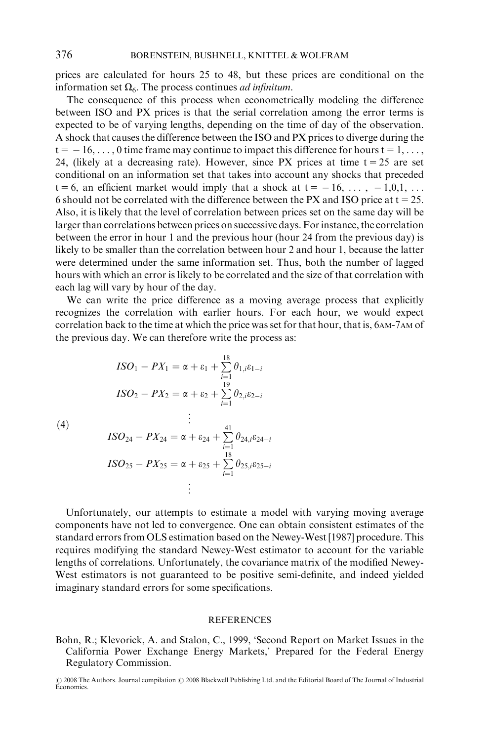prices are calculated for hours 25 to 48, but these prices are conditional on the information set  $\Omega_6$ . The process continues *ad infinitum*.

The consequence of this process when econometrically modeling the difference between ISO and PX prices is that the serial correlation among the error terms is expected to be of varying lengths, depending on the time of day of the observation. A shock that causes the difference between the ISO and PX prices to diverge during the  $t = -16, \ldots, 0$  time frame may continue to impact this difference for hours  $t = 1, \ldots,$ 24, (likely at a decreasing rate). However, since PX prices at time  $t = 25$  are set conditional on an information set that takes into account any shocks that preceded  $t = 6$ , an efficient market would imply that a shock at  $t = -16, \ldots, -1, 0, 1, \ldots$ 6 should not be correlated with the difference between the PX and ISO price at  $t = 25$ . Also, it is likely that the level of correlation between prices set on the same day will be larger than correlations between prices on successive days. For instance, the correlation between the error in hour 1 and the previous hour (hour 24 from the previous day) is likely to be smaller than the correlation between hour 2 and hour 1, because the latter were determined under the same information set. Thus, both the number of lagged hours with which an error is likely to be correlated and the size of that correlation with each lag will vary by hour of the day.

We can write the price difference as a moving average process that explicitly recognizes the correlation with earlier hours. For each hour, we would expect correlation back to the time at which the price was set for that hour, that is, 6AM-7AM of the previous day. We can therefore write the process as:

$$
ISO_{1} - PX_{1} = \alpha + \varepsilon_{1} + \sum_{i=1}^{18} \theta_{1,i} \varepsilon_{1-i}
$$

$$
ISO_{2} - PX_{2} = \alpha + \varepsilon_{2} + \sum_{i=1}^{19} \theta_{2,i} \varepsilon_{2-i}
$$

 $(4)$ 

$$
\begin{aligned}\n&\vdots\\ ISO_{24} - PX_{24} &= \alpha + \varepsilon_{24} + \sum_{i=1}^{41} \theta_{24,i} \varepsilon_{24-i} \\
&ISO_{25} - PX_{25} &= \alpha + \varepsilon_{25} + \sum_{i=1}^{18} \theta_{25,i} \varepsilon_{25-i} \\
&\vdots\n\end{aligned}
$$

Unfortunately, our attempts to estimate a model with varying moving average components have not led to convergence. One can obtain consistent estimates of the standard errors from OLS estimation based on the Newey-West [1987] procedure. This requires modifying the standard Newey-West estimator to account for the variable lengths of correlations. Unfortunately, the covariance matrix of the modified Newey-West estimators is not guaranteed to be positive semi-definite, and indeed yielded imaginary standard errors for some specifications.

#### **REFERENCES**

Bohn, R.; Klevorick, A. and Stalon, C., 1999, 'Second Report on Market Issues in the California Power Exchange Energy Markets,' Prepared for the Federal Energy Regulatory Commission.

<sup>© 2008</sup> The Authors. Journal compilation © 2008 Blackwell Publishing Ltd. and the Editorial Board of The Journal of Industrial<br>Economics.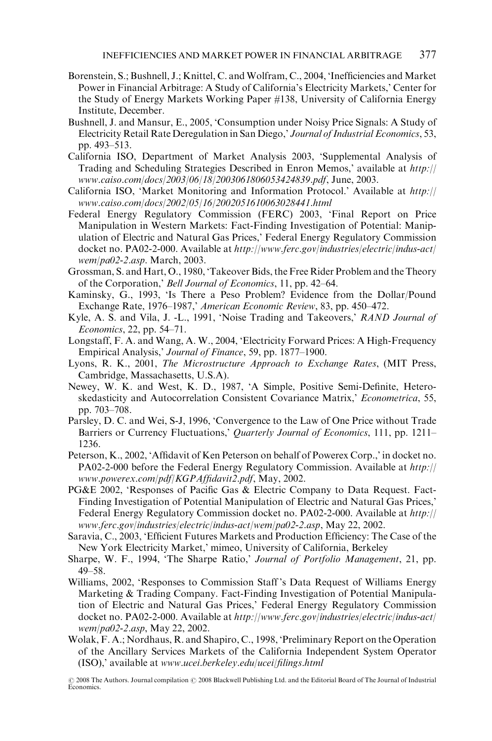- Borenstein, S.; Bushnell, J.; Knittel, C. and Wolfram, C., 2004, 'Inefficiencies and Market Power in Financial Arbitrage: A Study of California's Electricity Markets,' Center for the Study of Energy Markets Working Paper #138, University of California Energy Institute, December.
- Bushnell, J. and Mansur, E., 2005, 'Consumption under Noisy Price Signals: A Study of Electricity Retail Rate Deregulation in San Diego,' Journal of Industrial Economics, 53, pp. 493–513.
- California ISO, Department of Market Analysis 2003, 'Supplemental Analysis of Trading and Scheduling Strategies Described in Enron Memos,' available at http:// www.caiso.com/docs/2003/06/18/2003061806053424839.pdf, June, 2003.
- California ISO, 'Market Monitoring and Information Protocol.' Available at http:// www.caiso.com/docs/2002/05/16/2002051610063028441.html
- Federal Energy Regulatory Commission (FERC) 2003, 'Final Report on Price Manipulation in Western Markets: Fact-Finding Investigation of Potential: Manipulation of Electric and Natural Gas Prices,' Federal Energy Regulatory Commission docket no. PA02-2-000. Available at http://www.ferc.gov/industries/electric/indus-act/ wem/pa02-2.asp. March, 2003.
- Grossman, S. and Hart, O., 1980, 'Takeover Bids, the Free Rider Problem and the Theory of the Corporation,' Bell Journal of Economics, 11, pp. 42–64.
- Kaminsky, G., 1993, 'Is There a Peso Problem? Evidence from the Dollar/Pound Exchange Rate, 1976–1987,' American Economic Review, 83, pp. 450–472.
- Kyle, A. S. and Vila, J. -L., 1991, 'Noise Trading and Takeovers,' RAND Journal of Economics, 22, pp. 54–71.
- Longstaff, F. A. and Wang, A. W., 2004, 'Electricity Forward Prices: A High-Frequency Empirical Analysis,' Journal of Finance, 59, pp. 1877–1900.
- Lyons, R. K., 2001, The Microstructure Approach to Exchange Rates, (MIT Press, Cambridge, Massachasetts, U.S.A).
- Newey, W. K. and West, K. D., 1987, 'A Simple, Positive Semi-Definite, Heteroskedasticity and Autocorrelation Consistent Covariance Matrix,' Econometrica, 55, pp. 703–708.
- Parsley, D. C. and Wei, S-J, 1996, 'Convergence to the Law of One Price without Trade Barriers or Currency Fluctuations,' *Ouarterly Journal of Economics*, 111, pp. 1211– 1236.
- Peterson, K., 2002, 'Affidavit of Ken Peterson on behalf of Powerex Corp.,' in docket no. PA02-2-000 before the Federal Energy Regulatory Commission. Available at http:// www.powerex.com/pdf/KGPAffidavit2.pdf, May, 2002.
- PG&E 2002, 'Responses of Pacific Gas & Electric Company to Data Request. Fact-Finding Investigation of Potential Manipulation of Electric and Natural Gas Prices,' Federal Energy Regulatory Commission docket no. PA02-2-000. Available at http:// www.ferc.gov/industries/electric/indus-act/wem/pa02-2.asp, May 22, 2002.
- Saravia, C., 2003, 'Efficient Futures Markets and Production Efficiency: The Case of the New York Electricity Market,' mimeo, University of California, Berkeley
- Sharpe, W. F., 1994, 'The Sharpe Ratio,' Journal of Portfolio Management, 21, pp. 49–58.
- Williams, 2002, 'Responses to Commission Staff 's Data Request of Williams Energy Marketing & Trading Company. Fact-Finding Investigation of Potential Manipulation of Electric and Natural Gas Prices,' Federal Energy Regulatory Commission docket no. PA02-2-000. Available at http://www.ferc.gov/industries/electric/indus-act/ wem/pa02-2.asp, May 22, 2002.
- Wolak, F. A.; Nordhaus, R. and Shapiro, C., 1998, 'Preliminary Report on the Operation of the Ancillary Services Markets of the California Independent System Operator (ISO),' available at www.ucei.berkeley.edu/ucei/filings.html

<sup>© 2008</sup> The Authors. Journal compilation © 2008 Blackwell Publishing Ltd. and the Editorial Board of The Journal of Industrial<br>Economics.